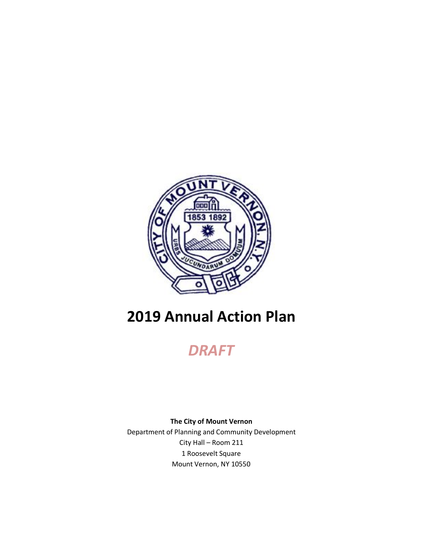

# **2019 Annual Action Plan**

*DRAFT*

**The City of Mount Vernon** Department of Planning and Community Development City Hall – Room 211 1 Roosevelt Square Mount Vernon, NY 10550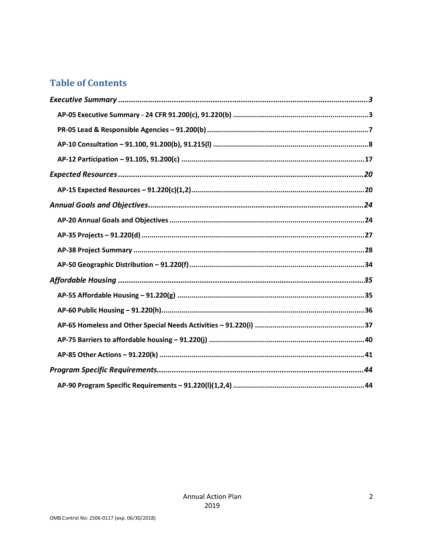### **Table of Contents**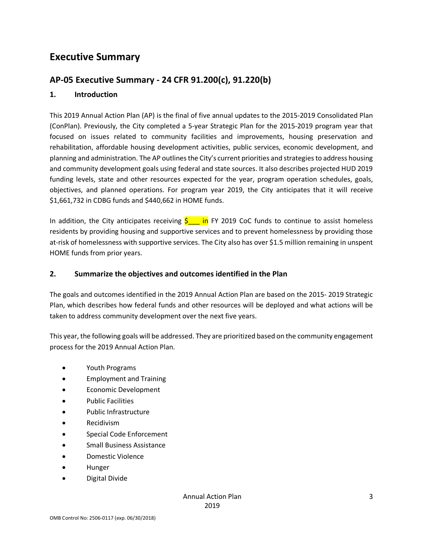### **Executive Summary**

### **AP-05 Executive Summary - 24 CFR 91.200(c), 91.220(b)**

#### **1. Introduction**

This 2019 Annual Action Plan (AP) is the final of five annual updates to the 2015-2019 Consolidated Plan (ConPlan). Previously, the City completed a 5-year Strategic Plan for the 2015-2019 program year that focused on issues related to community facilities and improvements, housing preservation and rehabilitation, affordable housing development activities, public services, economic development, and planning and administration. The AP outlines the City's current priorities and strategies to address housing and community development goals using federal and state sources. It also describes projected HUD 2019 funding levels, state and other resources expected for the year, program operation schedules, goals, objectives, and planned operations. For program year 2019, the City anticipates that it will receive \$1,661,732 in CDBG funds and \$440,662 in HOME funds.

In addition, the City anticipates receiving  $\frac{1}{2}$  in FY 2019 CoC funds to continue to assist homeless residents by providing housing and supportive services and to prevent homelessness by providing those at-risk of homelessness with supportive services. The City also has over \$1.5 million remaining in unspent HOME funds from prior years.

#### **2. Summarize the objectives and outcomes identified in the Plan**

The goals and outcomes identified in the 2019 Annual Action Plan are based on the 2015- 2019 Strategic Plan, which describes how federal funds and other resources will be deployed and what actions will be taken to address community development over the next five years.

This year, the following goals will be addressed. They are prioritized based on the community engagement process for the 2019 Annual Action Plan.

- Youth Programs
- Employment and Training
- Economic Development
- Public Facilities
- Public Infrastructure
- Recidivism
- Special Code Enforcement
- Small Business Assistance
- Domestic Violence
- Hunger
- Digital Divide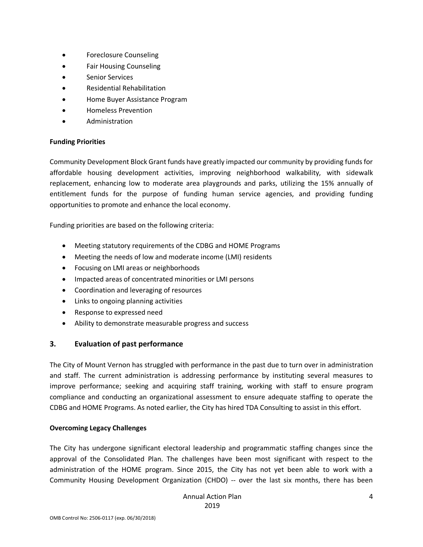- Foreclosure Counseling
- Fair Housing Counseling
- Senior Services
- Residential Rehabilitation
- Home Buyer Assistance Program
- Homeless Prevention
- Administration

### **Funding Priorities**

Community Development Block Grant funds have greatly impacted our community by providing funds for affordable housing development activities, improving neighborhood walkability, with sidewalk replacement, enhancing low to moderate area playgrounds and parks, utilizing the 15% annually of entitlement funds for the purpose of funding human service agencies, and providing funding opportunities to promote and enhance the local economy.

Funding priorities are based on the following criteria:

- Meeting statutory requirements of the CDBG and HOME Programs
- Meeting the needs of low and moderate income (LMI) residents
- Focusing on LMI areas or neighborhoods
- Impacted areas of concentrated minorities or LMI persons
- Coordination and leveraging of resources
- Links to ongoing planning activities
- Response to expressed need
- Ability to demonstrate measurable progress and success

### **3. Evaluation of past performance**

The City of Mount Vernon has struggled with performance in the past due to turn over in administration and staff. The current administration is addressing performance by instituting several measures to improve performance; seeking and acquiring staff training, working with staff to ensure program compliance and conducting an organizational assessment to ensure adequate staffing to operate the CDBG and HOME Programs. As noted earlier, the City has hired TDA Consulting to assist in this effort.

### **Overcoming Legacy Challenges**

The City has undergone significant electoral leadership and programmatic staffing changes since the approval of the Consolidated Plan. The challenges have been most significant with respect to the administration of the HOME program. Since 2015, the City has not yet been able to work with a Community Housing Development Organization (CHDO) -- over the last six months, there has been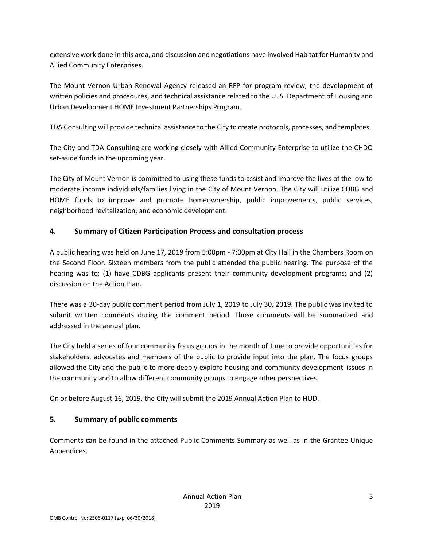extensive work done in this area, and discussion and negotiations have involved Habitat for Humanity and Allied Community Enterprises.

The Mount Vernon Urban Renewal Agency released an RFP for program review, the development of written policies and procedures, and technical assistance related to the U. S. Department of Housing and Urban Development HOME Investment Partnerships Program.

TDA Consulting will provide technical assistance to the City to create protocols, processes, and templates.

The City and TDA Consulting are working closely with Allied Community Enterprise to utilize the CHDO set-aside funds in the upcoming year.

The City of Mount Vernon is committed to using these funds to assist and improve the lives of the low to moderate income individuals/families living in the City of Mount Vernon. The City will utilize CDBG and HOME funds to improve and promote homeownership, public improvements, public services, neighborhood revitalization, and economic development.

### **4. Summary of Citizen Participation Process and consultation process**

A public hearing was held on June 17, 2019 from 5:00pm - 7:00pm at City Hall in the Chambers Room on the Second Floor. Sixteen members from the public attended the public hearing. The purpose of the hearing was to: (1) have CDBG applicants present their community development programs; and (2) discussion on the Action Plan.

There was a 30-day public comment period from July 1, 2019 to July 30, 2019. The public was invited to submit written comments during the comment period. Those comments will be summarized and addressed in the annual plan.

The City held a series of four community focus groups in the month of June to provide opportunities for stakeholders, advocates and members of the public to provide input into the plan. The focus groups allowed the City and the public to more deeply explore housing and community development issues in the community and to allow different community groups to engage other perspectives.

On or before August 16, 2019, the City will submit the 2019 Annual Action Plan to HUD.

### **5. Summary of public comments**

Comments can be found in the attached Public Comments Summary as well as in the Grantee Unique Appendices.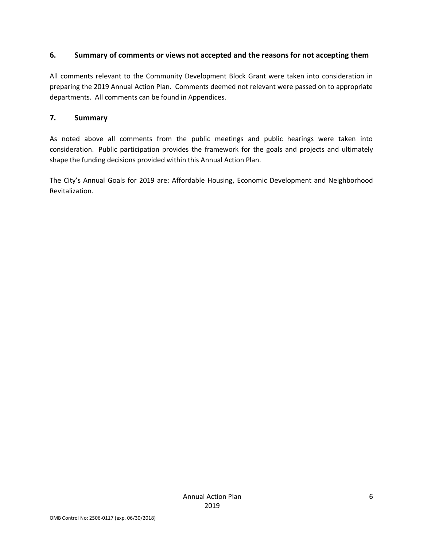#### **6. Summary of comments or views not accepted and the reasons for not accepting them**

All comments relevant to the Community Development Block Grant were taken into consideration in preparing the 2019 Annual Action Plan. Comments deemed not relevant were passed on to appropriate departments. All comments can be found in Appendices.

### **7. Summary**

As noted above all comments from the public meetings and public hearings were taken into consideration. Public participation provides the framework for the goals and projects and ultimately shape the funding decisions provided within this Annual Action Plan.

The City's Annual Goals for 2019 are: Affordable Housing, Economic Development and Neighborhood Revitalization.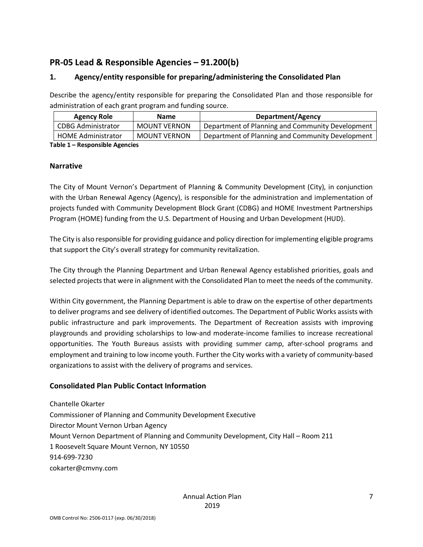### **PR-05 Lead & Responsible Agencies – 91.200(b)**

### **1. Agency/entity responsible for preparing/administering the Consolidated Plan**

Describe the agency/entity responsible for preparing the Consolidated Plan and those responsible for administration of each grant program and funding source.

| <b>Agency Role</b>        | <b>Name</b>         | Department/Agency                                |  |  |  |
|---------------------------|---------------------|--------------------------------------------------|--|--|--|
| CDBG Administrator        | <b>MOUNT VERNON</b> | Department of Planning and Community Development |  |  |  |
| <b>HOME Administrator</b> | MOUNT VERNON        | Department of Planning and Community Development |  |  |  |
|                           |                     |                                                  |  |  |  |

**Table 1 – Responsible Agencies**

#### **Narrative**

The City of Mount Vernon's Department of Planning & Community Development (City), in conjunction with the Urban Renewal Agency (Agency), is responsible for the administration and implementation of projects funded with Community Development Block Grant (CDBG) and HOME Investment Partnerships Program (HOME) funding from the U.S. Department of Housing and Urban Development (HUD).

The City is also responsible for providing guidance and policy direction for implementing eligible programs that support the City's overall strategy for community revitalization.

The City through the Planning Department and Urban Renewal Agency established priorities, goals and selected projects that were in alignment with the Consolidated Plan to meet the needs of the community.

Within City government, the Planning Department is able to draw on the expertise of other departments to deliver programs and see delivery of identified outcomes. The Department of Public Works assists with public infrastructure and park improvements. The Department of Recreation assists with improving playgrounds and providing scholarships to low-and moderate-income families to increase recreational opportunities. The Youth Bureaus assists with providing summer camp, after-school programs and employment and training to low income youth. Further the City works with a variety of community-based organizations to assist with the delivery of programs and services.

#### **Consolidated Plan Public Contact Information**

Chantelle Okarter Commissioner of Planning and Community Development Executive Director Mount Vernon Urban Agency Mount Vernon Department of Planning and Community Development, City Hall – Room 211 1 Roosevelt Square Mount Vernon, NY 10550 914-699-7230 cokarter@cmvny.com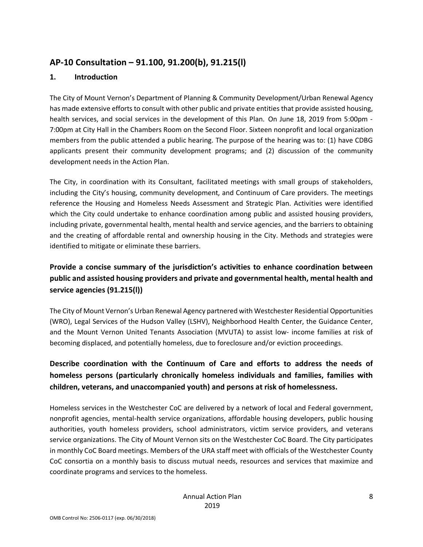### **AP-10 Consultation – 91.100, 91.200(b), 91.215(l)**

### **1. Introduction**

The City of Mount Vernon's Department of Planning & Community Development/Urban Renewal Agency has made extensive efforts to consult with other public and private entities that provide assisted housing, health services, and social services in the development of this Plan. On June 18, 2019 from 5:00pm - 7:00pm at City Hall in the Chambers Room on the Second Floor. Sixteen nonprofit and local organization members from the public attended a public hearing. The purpose of the hearing was to: (1) have CDBG applicants present their community development programs; and (2) discussion of the community development needs in the Action Plan.

The City, in coordination with its Consultant, facilitated meetings with small groups of stakeholders, including the City's housing, community development, and Continuum of Care providers. The meetings reference the Housing and Homeless Needs Assessment and Strategic Plan. Activities were identified which the City could undertake to enhance coordination among public and assisted housing providers, including private, governmental health, mental health and service agencies, and the barriers to obtaining and the creating of affordable rental and ownership housing in the City. Methods and strategies were identified to mitigate or eliminate these barriers.

### **Provide a concise summary of the jurisdiction's activities to enhance coordination between public and assisted housing providers and private and governmental health, mental health and service agencies (91.215(l))**

The City of Mount Vernon's Urban Renewal Agency partnered with Westchester Residential Opportunities (WRO), Legal Services of the Hudson Valley (LSHV), Neighborhood Health Center, the Guidance Center, and the Mount Vernon United Tenants Association (MVUTA) to assist low- income families at risk of becoming displaced, and potentially homeless, due to foreclosure and/or eviction proceedings.

### **Describe coordination with the Continuum of Care and efforts to address the needs of homeless persons (particularly chronically homeless individuals and families, families with children, veterans, and unaccompanied youth) and persons at risk of homelessness.**

Homeless services in the Westchester CoC are delivered by a network of local and Federal government, nonprofit agencies, mental-health service organizations, affordable housing developers, public housing authorities, youth homeless providers, school administrators, victim service providers, and veterans service organizations. The City of Mount Vernon sits on the Westchester CoC Board. The City participates in monthly CoC Board meetings. Members of the URA staff meet with officials of the Westchester County CoC consortia on a monthly basis to discuss mutual needs, resources and services that maximize and coordinate programs and services to the homeless.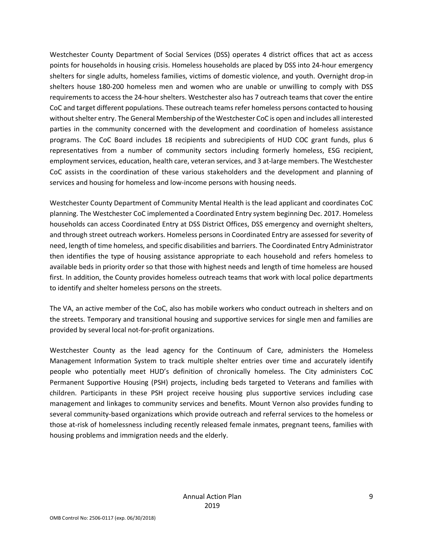Westchester County Department of Social Services (DSS) operates 4 district offices that act as access points for households in housing crisis. Homeless households are placed by DSS into 24-hour emergency shelters for single adults, homeless families, victims of domestic violence, and youth. Overnight drop-in shelters house 180-200 homeless men and women who are unable or unwilling to comply with DSS requirements to access the 24-hour shelters. Westchester also has 7 outreach teams that cover the entire CoC and target different populations. These outreach teams refer homeless persons contacted to housing without shelter entry. The General Membership of the Westchester CoC is open and includes all interested parties in the community concerned with the development and coordination of homeless assistance programs. The CoC Board includes 18 recipients and subrecipients of HUD COC grant funds, plus 6 representatives from a number of community sectors including formerly homeless, ESG recipient, employment services, education, health care, veteran services, and 3 at-large members. The Westchester CoC assists in the coordination of these various stakeholders and the development and planning of services and housing for homeless and low-income persons with housing needs.

Westchester County Department of Community Mental Health is the lead applicant and coordinates CoC planning. The Westchester CoC implemented a Coordinated Entry system beginning Dec. 2017. Homeless households can access Coordinated Entry at DSS District Offices, DSS emergency and overnight shelters, and through street outreach workers. Homeless persons in Coordinated Entry are assessed for severity of need, length of time homeless, and specific disabilities and barriers. The Coordinated Entry Administrator then identifies the type of housing assistance appropriate to each household and refers homeless to available beds in priority order so that those with highest needs and length of time homeless are housed first. In addition, the County provides homeless outreach teams that work with local police departments to identify and shelter homeless persons on the streets.

The VA, an active member of the CoC, also has mobile workers who conduct outreach in shelters and on the streets. Temporary and transitional housing and supportive services for single men and families are provided by several local not-for-profit organizations.

Westchester County as the lead agency for the Continuum of Care, administers the Homeless Management Information System to track multiple shelter entries over time and accurately identify people who potentially meet HUD's definition of chronically homeless. The City administers CoC Permanent Supportive Housing (PSH) projects, including beds targeted to Veterans and families with children. Participants in these PSH project receive housing plus supportive services including case management and linkages to community services and benefits. Mount Vernon also provides funding to several community-based organizations which provide outreach and referral services to the homeless or those at-risk of homelessness including recently released female inmates, pregnant teens, families with housing problems and immigration needs and the elderly.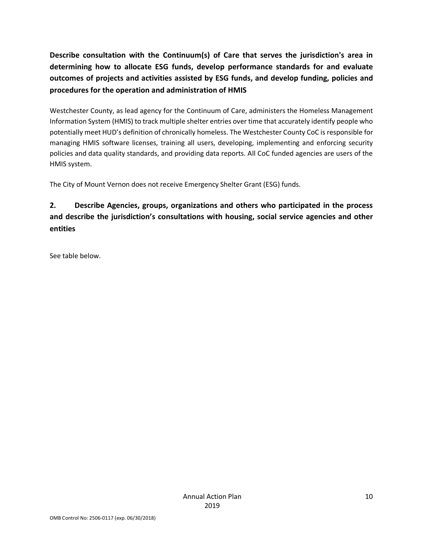**Describe consultation with the Continuum(s) of Care that serves the jurisdiction's area in determining how to allocate ESG funds, develop performance standards for and evaluate outcomes of projects and activities assisted by ESG funds, and develop funding, policies and procedures for the operation and administration of HMIS**

Westchester County, as lead agency for the Continuum of Care, administers the Homeless Management Information System (HMIS) to track multiple shelter entries over time that accurately identify people who potentially meet HUD's definition of chronically homeless. The Westchester County CoC is responsible for managing HMIS software licenses, training all users, developing, implementing and enforcing security policies and data quality standards, and providing data reports. All CoC funded agencies are users of the HMIS system.

The City of Mount Vernon does not receive Emergency Shelter Grant (ESG) funds.

### **2. Describe Agencies, groups, organizations and others who participated in the process and describe the jurisdiction's consultations with housing, social service agencies and other entities**

See table below.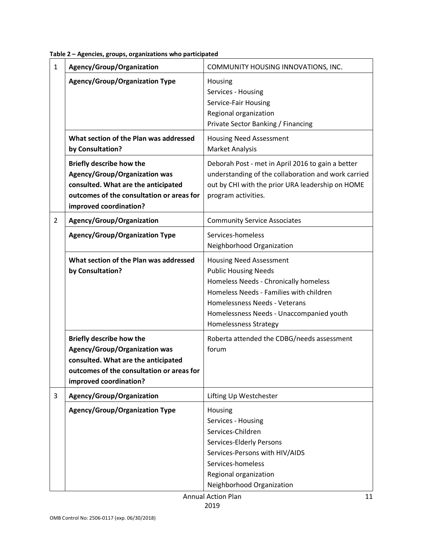| $\mathbf{1}$   | Agency/Group/Organization                                                                                                                                                             | COMMUNITY HOUSING INNOVATIONS, INC.                                                                                                                                                                                                                            |  |  |  |
|----------------|---------------------------------------------------------------------------------------------------------------------------------------------------------------------------------------|----------------------------------------------------------------------------------------------------------------------------------------------------------------------------------------------------------------------------------------------------------------|--|--|--|
|                | <b>Agency/Group/Organization Type</b>                                                                                                                                                 | Housing<br>Services - Housing<br>Service-Fair Housing<br>Regional organization<br>Private Sector Banking / Financing                                                                                                                                           |  |  |  |
|                | What section of the Plan was addressed<br>by Consultation?                                                                                                                            | <b>Housing Need Assessment</b><br><b>Market Analysis</b>                                                                                                                                                                                                       |  |  |  |
|                | <b>Briefly describe how the</b><br>Agency/Group/Organization was<br>consulted. What are the anticipated<br>outcomes of the consultation or areas for<br>improved coordination?        | Deborah Post - met in April 2016 to gain a better<br>understanding of the collaboration and work carried<br>out by CHI with the prior URA leadership on HOME<br>program activities.                                                                            |  |  |  |
| $\overline{2}$ | Agency/Group/Organization                                                                                                                                                             | <b>Community Service Associates</b>                                                                                                                                                                                                                            |  |  |  |
|                | <b>Agency/Group/Organization Type</b>                                                                                                                                                 | Services-homeless<br>Neighborhood Organization                                                                                                                                                                                                                 |  |  |  |
|                | What section of the Plan was addressed<br>by Consultation?                                                                                                                            | <b>Housing Need Assessment</b><br><b>Public Housing Needs</b><br>Homeless Needs - Chronically homeless<br>Homeless Needs - Families with children<br>Homelessness Needs - Veterans<br>Homelessness Needs - Unaccompanied youth<br><b>Homelessness Strategy</b> |  |  |  |
|                | <b>Briefly describe how the</b><br><b>Agency/Group/Organization was</b><br>consulted. What are the anticipated<br>outcomes of the consultation or areas for<br>improved coordination? | Roberta attended the CDBG/needs assessment<br>forum                                                                                                                                                                                                            |  |  |  |
| 3              | Agency/Group/Organization                                                                                                                                                             | Lifting Up Westchester                                                                                                                                                                                                                                         |  |  |  |
|                | <b>Agency/Group/Organization Type</b>                                                                                                                                                 | Housing<br>Services - Housing<br>Services-Children<br>Services-Elderly Persons<br>Services-Persons with HIV/AIDS<br>Services-homeless<br>Regional organization<br>Neighborhood Organization                                                                    |  |  |  |

**Table 2 – Agencies, groups, organizations who participated**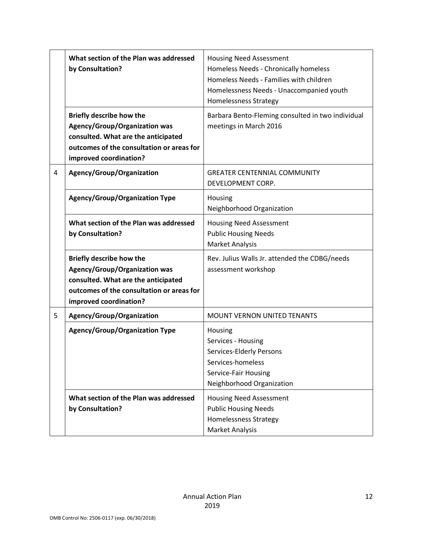|   | What section of the Plan was addressed<br>by Consultation?                                                                                                                            | <b>Housing Need Assessment</b><br>Homeless Needs - Chronically homeless<br>Homeless Needs - Families with children<br>Homelessness Needs - Unaccompanied youth<br><b>Homelessness Strategy</b> |  |  |  |  |
|---|---------------------------------------------------------------------------------------------------------------------------------------------------------------------------------------|------------------------------------------------------------------------------------------------------------------------------------------------------------------------------------------------|--|--|--|--|
|   | <b>Briefly describe how the</b><br><b>Agency/Group/Organization was</b><br>consulted. What are the anticipated<br>outcomes of the consultation or areas for<br>improved coordination? | Barbara Bento-Fleming consulted in two individual<br>meetings in March 2016                                                                                                                    |  |  |  |  |
| 4 | Agency/Group/Organization                                                                                                                                                             | <b>GREATER CENTENNIAL COMMUNITY</b><br>DEVELOPMENT CORP.                                                                                                                                       |  |  |  |  |
|   | <b>Agency/Group/Organization Type</b>                                                                                                                                                 | Housing<br>Neighborhood Organization                                                                                                                                                           |  |  |  |  |
|   | What section of the Plan was addressed<br>by Consultation?                                                                                                                            | <b>Housing Need Assessment</b><br><b>Public Housing Needs</b><br><b>Market Analysis</b>                                                                                                        |  |  |  |  |
|   | <b>Briefly describe how the</b><br><b>Agency/Group/Organization was</b><br>consulted. What are the anticipated<br>outcomes of the consultation or areas for<br>improved coordination? | Rev. Julius Walls Jr. attended the CDBG/needs<br>assessment workshop                                                                                                                           |  |  |  |  |
| 5 | Agency/Group/Organization                                                                                                                                                             | MOUNT VERNON UNITED TENANTS                                                                                                                                                                    |  |  |  |  |
|   | Agency/Group/Organization Type                                                                                                                                                        | Housing<br>Services - Housing<br>Services-Elderly Persons<br>Services-homeless<br>Service-Fair Housing<br>Neighborhood Organization                                                            |  |  |  |  |
|   | What section of the Plan was addressed<br>by Consultation?                                                                                                                            | <b>Housing Need Assessment</b><br><b>Public Housing Needs</b><br><b>Homelessness Strategy</b><br><b>Market Analysis</b>                                                                        |  |  |  |  |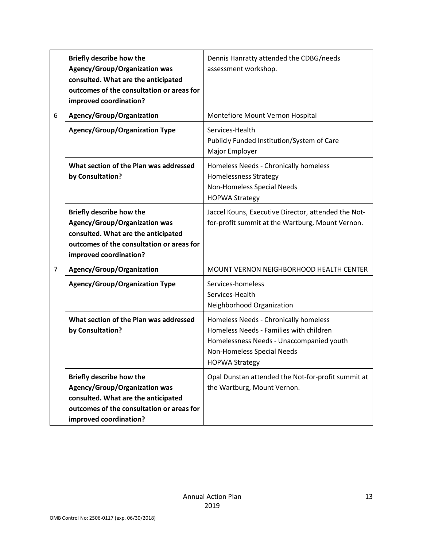|                | <b>Briefly describe how the</b><br>Agency/Group/Organization was<br>consulted. What are the anticipated<br>outcomes of the consultation or areas for<br>improved coordination?        | Dennis Hanratty attended the CDBG/needs<br>assessment workshop.                                                                                                                     |  |  |
|----------------|---------------------------------------------------------------------------------------------------------------------------------------------------------------------------------------|-------------------------------------------------------------------------------------------------------------------------------------------------------------------------------------|--|--|
| 6              | Agency/Group/Organization                                                                                                                                                             | Montefiore Mount Vernon Hospital                                                                                                                                                    |  |  |
|                | <b>Agency/Group/Organization Type</b>                                                                                                                                                 | Services-Health<br>Publicly Funded Institution/System of Care<br>Major Employer                                                                                                     |  |  |
|                | What section of the Plan was addressed<br>by Consultation?                                                                                                                            | Homeless Needs - Chronically homeless<br><b>Homelessness Strategy</b><br>Non-Homeless Special Needs<br><b>HOPWA Strategy</b>                                                        |  |  |
|                | <b>Briefly describe how the</b><br>Agency/Group/Organization was<br>consulted. What are the anticipated<br>outcomes of the consultation or areas for<br>improved coordination?        | Jaccel Kouns, Executive Director, attended the Not-<br>for-profit summit at the Wartburg, Mount Vernon.                                                                             |  |  |
| $\overline{7}$ | Agency/Group/Organization                                                                                                                                                             | MOUNT VERNON NEIGHBORHOOD HEALTH CENTER                                                                                                                                             |  |  |
|                | <b>Agency/Group/Organization Type</b>                                                                                                                                                 | Services-homeless<br>Services-Health<br>Neighborhood Organization                                                                                                                   |  |  |
|                | What section of the Plan was addressed<br>by Consultation?                                                                                                                            | Homeless Needs - Chronically homeless<br>Homeless Needs - Families with children<br>Homelessness Needs - Unaccompanied youth<br>Non-Homeless Special Needs<br><b>HOPWA Strategy</b> |  |  |
|                | <b>Briefly describe how the</b><br><b>Agency/Group/Organization was</b><br>consulted. What are the anticipated<br>outcomes of the consultation or areas for<br>improved coordination? | Opal Dunstan attended the Not-for-profit summit at<br>the Wartburg, Mount Vernon.                                                                                                   |  |  |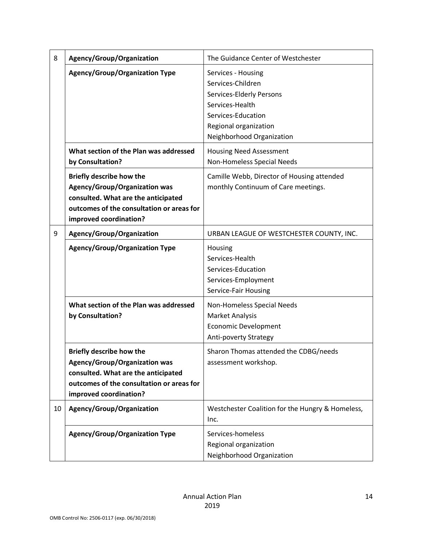| 8  | Agency/Group/Organization                                                                                                                                                             | The Guidance Center of Westchester                                                                                                                                 |  |  |  |
|----|---------------------------------------------------------------------------------------------------------------------------------------------------------------------------------------|--------------------------------------------------------------------------------------------------------------------------------------------------------------------|--|--|--|
|    | <b>Agency/Group/Organization Type</b>                                                                                                                                                 | Services - Housing<br>Services-Children<br>Services-Elderly Persons<br>Services-Health<br>Services-Education<br>Regional organization<br>Neighborhood Organization |  |  |  |
|    | What section of the Plan was addressed<br>by Consultation?                                                                                                                            | <b>Housing Need Assessment</b><br>Non-Homeless Special Needs                                                                                                       |  |  |  |
|    | <b>Briefly describe how the</b><br><b>Agency/Group/Organization was</b><br>consulted. What are the anticipated<br>outcomes of the consultation or areas for<br>improved coordination? | Camille Webb, Director of Housing attended<br>monthly Continuum of Care meetings.                                                                                  |  |  |  |
| 9  | Agency/Group/Organization                                                                                                                                                             | URBAN LEAGUE OF WESTCHESTER COUNTY, INC.<br>Housing<br>Services-Health<br>Services-Education<br>Services-Employment<br>Service-Fair Housing                        |  |  |  |
|    | <b>Agency/Group/Organization Type</b>                                                                                                                                                 |                                                                                                                                                                    |  |  |  |
|    | What section of the Plan was addressed<br>by Consultation?                                                                                                                            | Non-Homeless Special Needs<br><b>Market Analysis</b><br><b>Economic Development</b><br><b>Anti-poverty Strategy</b>                                                |  |  |  |
|    | <b>Briefly describe how the</b><br><b>Agency/Group/Organization was</b><br>consulted. What are the anticipated<br>outcomes of the consultation or areas for<br>improved coordination? | Sharon Thomas attended the CDBG/needs<br>assessment workshop.                                                                                                      |  |  |  |
| 10 | Agency/Group/Organization                                                                                                                                                             | Westchester Coalition for the Hungry & Homeless,<br>Inc.                                                                                                           |  |  |  |
|    | <b>Agency/Group/Organization Type</b>                                                                                                                                                 | Services-homeless<br>Regional organization<br>Neighborhood Organization                                                                                            |  |  |  |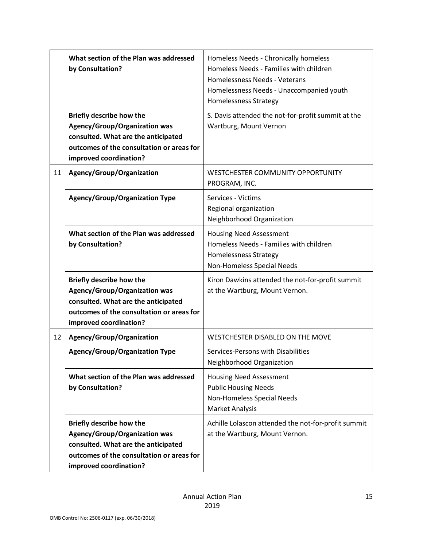|    | What section of the Plan was addressed<br>by Consultation?                                                                                                                            | Homeless Needs - Chronically homeless<br>Homeless Needs - Families with children<br>Homelessness Needs - Veterans<br>Homelessness Needs - Unaccompanied youth<br><b>Homelessness Strategy</b> |  |  |  |
|----|---------------------------------------------------------------------------------------------------------------------------------------------------------------------------------------|-----------------------------------------------------------------------------------------------------------------------------------------------------------------------------------------------|--|--|--|
|    | Briefly describe how the<br><b>Agency/Group/Organization was</b><br>consulted. What are the anticipated<br>outcomes of the consultation or areas for<br>improved coordination?        | S. Davis attended the not-for-profit summit at the<br>Wartburg, Mount Vernon                                                                                                                  |  |  |  |
| 11 | Agency/Group/Organization                                                                                                                                                             | WESTCHESTER COMMUNITY OPPORTUNITY<br>PROGRAM, INC.                                                                                                                                            |  |  |  |
|    | <b>Agency/Group/Organization Type</b>                                                                                                                                                 | Services - Victims<br>Regional organization<br>Neighborhood Organization                                                                                                                      |  |  |  |
|    | What section of the Plan was addressed<br>by Consultation?                                                                                                                            | <b>Housing Need Assessment</b><br>Homeless Needs - Families with children<br><b>Homelessness Strategy</b><br>Non-Homeless Special Needs                                                       |  |  |  |
|    | <b>Briefly describe how the</b><br><b>Agency/Group/Organization was</b><br>consulted. What are the anticipated<br>outcomes of the consultation or areas for<br>improved coordination? | Kiron Dawkins attended the not-for-profit summit<br>at the Wartburg, Mount Vernon.                                                                                                            |  |  |  |
| 12 | Agency/Group/Organization                                                                                                                                                             | WESTCHESTER DISABLED ON THE MOVE                                                                                                                                                              |  |  |  |
|    | <b>Agency/Group/Organization Type</b>                                                                                                                                                 | Services-Persons with Disabilities<br>Neighborhood Organization                                                                                                                               |  |  |  |
|    | What section of the Plan was addressed<br>by Consultation?                                                                                                                            | <b>Housing Need Assessment</b><br><b>Public Housing Needs</b><br>Non-Homeless Special Needs<br>Market Analysis                                                                                |  |  |  |
|    | <b>Briefly describe how the</b><br><b>Agency/Group/Organization was</b><br>consulted. What are the anticipated<br>outcomes of the consultation or areas for<br>improved coordination? | Achille Lolascon attended the not-for-profit summit<br>at the Wartburg, Mount Vernon.                                                                                                         |  |  |  |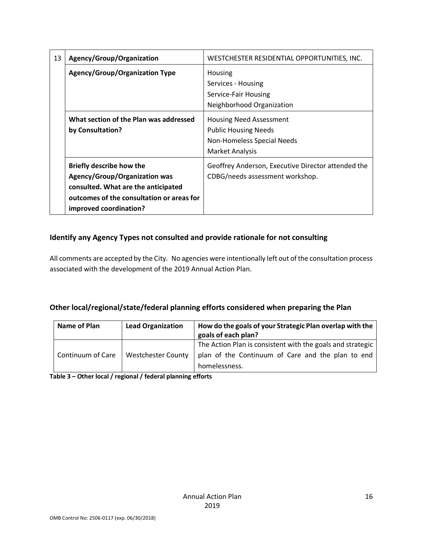| 13 | Agency/Group/Organization                                                                                                                                                             | WESTCHESTER RESIDENTIAL OPPORTUNITIES, INC.<br>Housing<br>Services - Housing<br>Service-Fair Housing<br>Neighborhood Organization |  |  |  |
|----|---------------------------------------------------------------------------------------------------------------------------------------------------------------------------------------|-----------------------------------------------------------------------------------------------------------------------------------|--|--|--|
|    | <b>Agency/Group/Organization Type</b>                                                                                                                                                 |                                                                                                                                   |  |  |  |
|    | What section of the Plan was addressed<br>by Consultation?                                                                                                                            | <b>Housing Need Assessment</b><br><b>Public Housing Needs</b><br>Non-Homeless Special Needs<br>Market Analysis                    |  |  |  |
|    | <b>Briefly describe how the</b><br><b>Agency/Group/Organization was</b><br>consulted. What are the anticipated<br>outcomes of the consultation or areas for<br>improved coordination? | Geoffrey Anderson, Executive Director attended the<br>CDBG/needs assessment workshop.                                             |  |  |  |

### **Identify any Agency Types not consulted and provide rationale for not consulting**

All comments are accepted by the City. No agencies were intentionally left out of the consultation process associated with the development of the 2019 Annual Action Plan.

### **Other local/regional/state/federal planning efforts considered when preparing the Plan**

| <b>Name of Plan</b> | <b>Lead Organization</b>  | How do the goals of your Strategic Plan overlap with the<br>goals of each plan?                                 |
|---------------------|---------------------------|-----------------------------------------------------------------------------------------------------------------|
| Continuum of Care   | <b>Westchester County</b> | The Action Plan is consistent with the goals and strategic<br>plan of the Continuum of Care and the plan to end |
|                     |                           | homelessness.                                                                                                   |

**Table 3 – Other local / regional / federal planning efforts**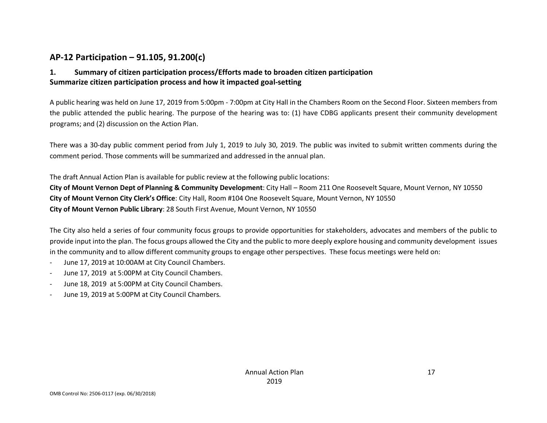### **AP-12 Participation – 91.105, 91.200(c)**

### **1. Summary of citizen participation process/Efforts made to broaden citizen participation Summarize citizen participation process and how it impacted goal-setting**

A public hearing was held on June 17, 2019 from 5:00pm - 7:00pm at City Hall in the Chambers Room on the Second Floor. Sixteen members from the public attended the public hearing. The purpose of the hearing was to: (1) have CDBG applicants present their community development programs; and (2) discussion on the Action Plan.

There was a 30-day public comment period from July 1, 2019 to July 30, 2019. The public was invited to submit written comments during the comment period. Those comments will be summarized and addressed in the annual plan.

The draft Annual Action Plan is available for public review at the following public locations: **City of Mount Vernon Dept of Planning & Community Development**: City Hall – Room 211 One Roosevelt Square, Mount Vernon, NY 10550 **City of Mount Vernon City Clerk's Office**: City Hall, Room #104 One Roosevelt Square, Mount Vernon, NY 10550 **City of Mount Vernon Public Library**: 28 South First Avenue, Mount Vernon, NY 10550

The City also held a series of four community focus groups to provide opportunities for stakeholders, advocates and members of the public to provide input into the plan. The focus groups allowed the City and the public to more deeply explore housing and community development issues in the community and to allow different community groups to engage other perspectives. These focus meetings were held on:

- June 17, 2019 at 10:00AM at City Council Chambers.
- June 17, 2019 at 5:00PM at City Council Chambers.
- June 18, 2019 at 5:00PM at City Council Chambers.
- June 19, 2019 at 5:00PM at City Council Chambers.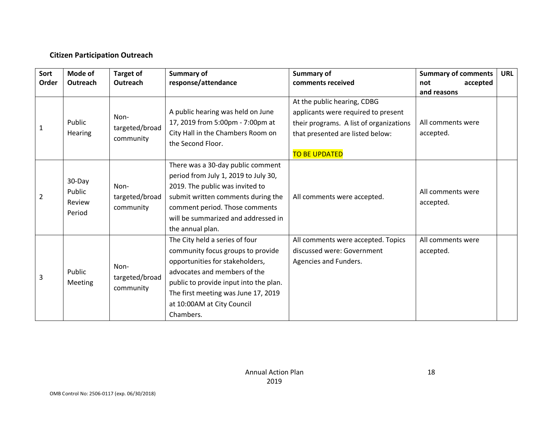### **Citizen Participation Outreach**

| Mode of<br><b>Target of</b><br>Sort |                                             | <b>Summary of</b>                   |                                        | <b>Summary of</b>                       | <b>Summary of comments</b> | <b>URL</b> |
|-------------------------------------|---------------------------------------------|-------------------------------------|----------------------------------------|-----------------------------------------|----------------------------|------------|
| Order                               | response/attendance<br>Outreach<br>Outreach |                                     | comments received                      | accepted<br>not                         |                            |            |
|                                     |                                             |                                     |                                        |                                         | and reasons                |            |
|                                     |                                             |                                     |                                        | At the public hearing, CDBG             |                            |            |
|                                     |                                             | Non-                                | A public hearing was held on June      | applicants were required to present     |                            |            |
| 1                                   | Public                                      | targeted/broad                      | 17, 2019 from 5:00pm - 7:00pm at       | their programs. A list of organizations | All comments were          |            |
|                                     | Hearing                                     |                                     | City Hall in the Chambers Room on      | that presented are listed below:        | accepted.                  |            |
|                                     |                                             | community                           | the Second Floor.                      |                                         |                            |            |
|                                     |                                             |                                     |                                        | <b>TO BE UPDATED</b>                    |                            |            |
|                                     |                                             |                                     | There was a 30-day public comment      |                                         |                            |            |
|                                     | 30-Day<br>Public<br>Review<br>Period        |                                     | period from July 1, 2019 to July 30,   |                                         |                            |            |
|                                     |                                             | Non-<br>targeted/broad<br>community | 2019. The public was invited to        |                                         | All comments were          |            |
| $\overline{2}$                      |                                             |                                     | submit written comments during the     | All comments were accepted.             |                            |            |
|                                     |                                             |                                     | comment period. Those comments         |                                         | accepted.                  |            |
|                                     |                                             |                                     | will be summarized and addressed in    |                                         |                            |            |
|                                     |                                             |                                     | the annual plan.                       |                                         |                            |            |
|                                     |                                             |                                     | The City held a series of four         | All comments were accepted. Topics      | All comments were          |            |
|                                     |                                             |                                     | community focus groups to provide      | discussed were: Government              | accepted.                  |            |
|                                     |                                             | Non-                                | opportunities for stakeholders,        | Agencies and Funders.                   |                            |            |
|                                     | Public                                      |                                     | advocates and members of the           |                                         |                            |            |
| 3                                   | Meeting                                     | targeted/broad                      | public to provide input into the plan. |                                         |                            |            |
|                                     |                                             | community                           | The first meeting was June 17, 2019    |                                         |                            |            |
|                                     |                                             |                                     | at 10:00AM at City Council             |                                         |                            |            |
|                                     |                                             |                                     | Chambers.                              |                                         |                            |            |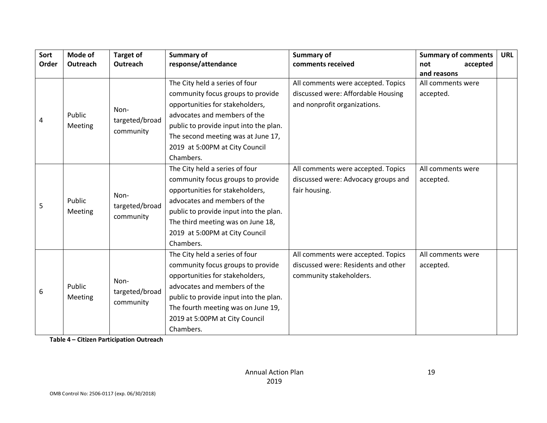| Sort  | Mode of           | <b>Target of</b>                    | <b>Summary of</b>                      | <b>Summary of</b>                   | <b>Summary of comments</b> | <b>URL</b> |
|-------|-------------------|-------------------------------------|----------------------------------------|-------------------------------------|----------------------------|------------|
| Order | Outreach          | Outreach                            | response/attendance                    | comments received                   | accepted<br>not            |            |
|       |                   |                                     |                                        |                                     | and reasons                |            |
|       |                   |                                     | The City held a series of four         | All comments were accepted. Topics  | All comments were          |            |
|       |                   |                                     | community focus groups to provide      | discussed were: Affordable Housing  | accepted.                  |            |
|       |                   | Non-                                | opportunities for stakeholders,        | and nonprofit organizations.        |                            |            |
| 4     | Public            | targeted/broad                      | advocates and members of the           |                                     |                            |            |
|       | Meeting           | community                           | public to provide input into the plan. |                                     |                            |            |
|       |                   |                                     | The second meeting was at June 17,     |                                     |                            |            |
|       |                   |                                     | 2019 at 5:00PM at City Council         |                                     |                            |            |
|       |                   |                                     | Chambers.                              |                                     |                            |            |
|       |                   |                                     | The City held a series of four         | All comments were accepted. Topics  | All comments were          |            |
|       | Public<br>Meeting | Non-<br>targeted/broad<br>community | community focus groups to provide      | discussed were: Advocacy groups and | accepted.                  |            |
|       |                   |                                     | opportunities for stakeholders,        | fair housing.                       |                            |            |
|       |                   |                                     | advocates and members of the           |                                     |                            |            |
| 5     |                   |                                     | public to provide input into the plan. |                                     |                            |            |
|       |                   |                                     | The third meeting was on June 18,      |                                     |                            |            |
|       |                   |                                     | 2019 at 5:00PM at City Council         |                                     |                            |            |
|       |                   |                                     | Chambers.                              |                                     |                            |            |
|       |                   |                                     | The City held a series of four         | All comments were accepted. Topics  | All comments were          |            |
|       |                   |                                     | community focus groups to provide      | discussed were: Residents and other | accepted.                  |            |
|       |                   |                                     | opportunities for stakeholders,        | community stakeholders.             |                            |            |
|       | Public            | Non-                                | advocates and members of the           |                                     |                            |            |
| 6     | Meeting           | targeted/broad                      | public to provide input into the plan. |                                     |                            |            |
|       |                   | community                           | The fourth meeting was on June 19,     |                                     |                            |            |
|       |                   |                                     | 2019 at 5:00PM at City Council         |                                     |                            |            |
|       |                   |                                     | Chambers.                              |                                     |                            |            |

**Table 4 – Citizen Participation Outreach**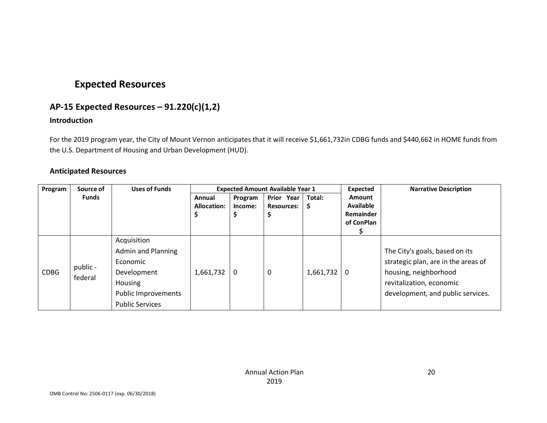### **Expected Resources**

### **AP-15 Expected Resources – 91.220(c)(1,2)**

#### **Introduction**

For the 2019 program year, the City of Mount Vernon anticipates that it will receive \$1,661,732in CDBG funds and \$440,662 in HOME funds from the U.S. Department of Housing and Urban Development (HUD).

#### **Anticipated Resources**

| Program     | Source of           | <b>Uses of Funds</b>      |             |         | <b>Expected Amount Available Year 1</b> |           | Expected                | <b>Narrative Description</b>        |
|-------------|---------------------|---------------------------|-------------|---------|-----------------------------------------|-----------|-------------------------|-------------------------------------|
|             | <b>Funds</b>        |                           | Annual      | Program | Prior Year                              | Total:    | Amount                  |                                     |
|             |                     |                           | Allocation: | Income: | <b>Resources:</b>                       | -Ş        | <b>Available</b>        |                                     |
|             |                     |                           |             | Ş       |                                         |           | Remainder<br>of ConPlan |                                     |
|             |                     |                           |             |         |                                         |           |                         |                                     |
|             |                     | Acquisition               |             |         |                                         |           |                         |                                     |
|             | public -<br>federal | <b>Admin and Planning</b> |             |         |                                         |           |                         | The City's goals, based on its      |
|             |                     | Economic                  |             |         |                                         |           |                         | strategic plan, are in the areas of |
| <b>CDBG</b> |                     | Development               | 1,661,732   | 0       | 0                                       | 1,661,732 | 0                       | housing, neighborhood               |
|             |                     | Housing                   |             |         |                                         |           |                         | revitalization, economic            |
|             |                     | Public Improvements       |             |         |                                         |           |                         | development, and public services.   |
|             |                     | <b>Public Services</b>    |             |         |                                         |           |                         |                                     |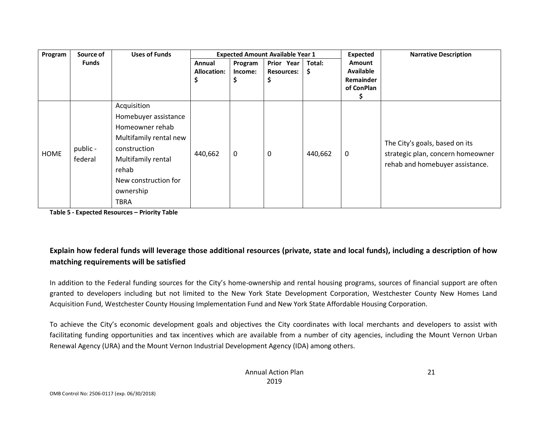| Program     | Source of           | <b>Uses of Funds</b>                                                                                                                                                         |             |         | <b>Expected Amount Available Year 1</b> |         | <b>Expected</b>  | <b>Narrative Description</b>                                                                           |
|-------------|---------------------|------------------------------------------------------------------------------------------------------------------------------------------------------------------------------|-------------|---------|-----------------------------------------|---------|------------------|--------------------------------------------------------------------------------------------------------|
|             | <b>Funds</b>        |                                                                                                                                                                              | Annual      | Program | Prior Year                              | Total:  | Amount           |                                                                                                        |
|             |                     |                                                                                                                                                                              | Allocation: | Income: | <b>Resources:</b>                       | Ş       | <b>Available</b> |                                                                                                        |
|             |                     |                                                                                                                                                                              |             | Ş       | \$                                      |         | <b>Remainder</b> |                                                                                                        |
|             |                     |                                                                                                                                                                              |             |         |                                         |         | of ConPlan       |                                                                                                        |
| <b>HOME</b> | public -<br>federal | Acquisition<br>Homebuyer assistance<br>Homeowner rehab<br>Multifamily rental new<br>construction<br>Multifamily rental<br>rehab<br>New construction for<br>ownership<br>TBRA | 440,662     | 0       | $\mathbf 0$                             | 440,662 | 0                | The City's goals, based on its<br>strategic plan, concern homeowner<br>rehab and homebuyer assistance. |

**Table 5 - Expected Resources – Priority Table**

### **Explain how federal funds will leverage those additional resources (private, state and local funds), including a description of how matching requirements will be satisfied**

In addition to the Federal funding sources for the City's home-ownership and rental housing programs, sources of financial support are often granted to developers including but not limited to the New York State Development Corporation, Westchester County New Homes Land Acquisition Fund, Westchester County Housing Implementation Fund and New York State Affordable Housing Corporation.

To achieve the City's economic development goals and objectives the City coordinates with local merchants and developers to assist with facilitating funding opportunities and tax incentives which are available from a number of city agencies, including the Mount Vernon Urban Renewal Agency (URA) and the Mount Vernon Industrial Development Agency (IDA) among others.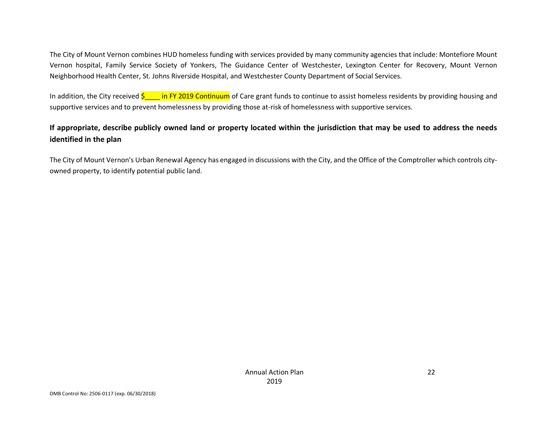The City of Mount Vernon combines HUD homeless funding with services provided by many community agencies that include: Montefiore Mount Vernon hospital, Family Service Society of Yonkers, The Guidance Center of Westchester, Lexington Center for Recovery, Mount Vernon Neighborhood Health Center, St. Johns Riverside Hospital, and Westchester County Department of Social Services.

In addition, the City received  $\frac{s}{1}$  in FY 2019 Continuum of Care grant funds to continue to assist homeless residents by providing housing and supportive services and to prevent homelessness by providing those at-risk of homelessness with supportive services.

### **If appropriate, describe publicly owned land or property located within the jurisdiction that may be used to address the needs identified in the plan**

The City of Mount Vernon's Urban Renewal Agency has engaged in discussions with the City, and the Office of the Comptroller which controls cityowned property, to identify potential public land.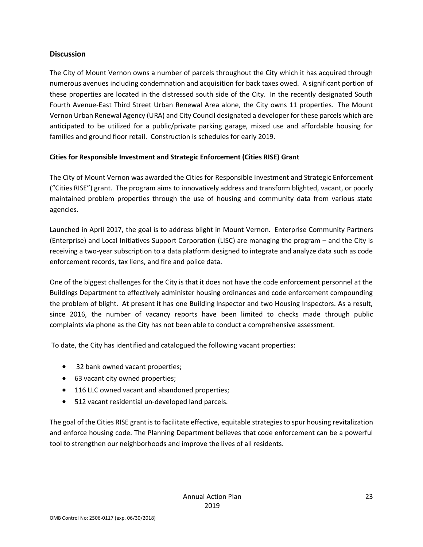#### **Discussion**

The City of Mount Vernon owns a number of parcels throughout the City which it has acquired through numerous avenues including condemnation and acquisition for back taxes owed. A significant portion of these properties are located in the distressed south side of the City. In the recently designated South Fourth Avenue-East Third Street Urban Renewal Area alone, the City owns 11 properties. The Mount Vernon Urban Renewal Agency (URA) and City Council designated a developer for these parcels which are anticipated to be utilized for a public/private parking garage, mixed use and affordable housing for families and ground floor retail. Construction is schedules for early 2019.

#### **Cities for Responsible Investment and Strategic Enforcement (Cities RISE) Grant**

The City of Mount Vernon was awarded the Cities for Responsible Investment and Strategic Enforcement ("Cities RISE") grant. The program aims to innovatively address and transform blighted, vacant, or poorly maintained problem properties through the use of housing and community data from various state agencies.

Launched in April 2017, the goal is to address blight in Mount Vernon. Enterprise Community Partners (Enterprise) and Local Initiatives Support Corporation (LISC) are managing the program – and the City is receiving a two-year subscription to a data platform designed to integrate and analyze data such as code enforcement records, tax liens, and fire and police data.

One of the biggest challenges for the City is that it does not have the code enforcement personnel at the Buildings Department to effectively administer housing ordinances and code enforcement compounding the problem of blight. At present it has one Building Inspector and two Housing Inspectors. As a result, since 2016, the number of vacancy reports have been limited to checks made through public complaints via phone as the City has not been able to conduct a comprehensive assessment.

To date, the City has identified and catalogued the following vacant properties:

- 32 bank owned vacant properties;
- 63 vacant city owned properties;
- 116 LLC owned vacant and abandoned properties;
- 512 vacant residential un-developed land parcels.

The goal of the Cities RISE grant is to facilitate effective, equitable strategies to spur housing revitalization and enforce housing code. The Planning Department believes that code enforcement can be a powerful tool to strengthen our neighborhoods and improve the lives of all residents.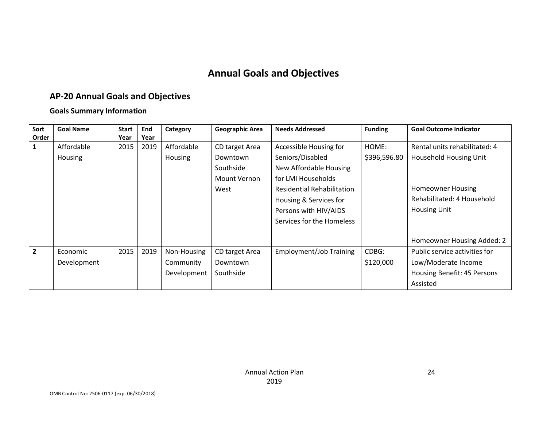# **Annual Goals and Objectives**

# **AP-20 Annual Goals and Objectives**

### **Goals Summary Information**

| Sort           | <b>Goal Name</b> | <b>Start</b> | End  | Category       | Geographic Area | <b>Needs Addressed</b>            | <b>Funding</b> | <b>Goal Outcome Indicator</b> |
|----------------|------------------|--------------|------|----------------|-----------------|-----------------------------------|----------------|-------------------------------|
| Order          |                  | Year         | Year |                |                 |                                   |                |                               |
| $\mathbf{1}$   | Affordable       | 2015         | 2019 | Affordable     | CD target Area  | Accessible Housing for            | HOME:          | Rental units rehabilitated: 4 |
|                | Housing          |              |      | <b>Housing</b> | Downtown        | Seniors/Disabled                  | \$396,596.80   | Household Housing Unit        |
|                |                  |              |      |                | Southside       | New Affordable Housing            |                |                               |
|                |                  |              |      |                | Mount Vernon    | for LMI Households                |                |                               |
|                |                  |              |      |                | West            | <b>Residential Rehabilitation</b> |                | <b>Homeowner Housing</b>      |
|                |                  |              |      |                |                 | Housing & Services for            |                | Rehabilitated: 4 Household    |
|                |                  |              |      |                |                 | Persons with HIV/AIDS             |                | <b>Housing Unit</b>           |
|                |                  |              |      |                |                 | Services for the Homeless         |                |                               |
|                |                  |              |      |                |                 |                                   |                |                               |
|                |                  |              |      |                |                 |                                   |                | Homeowner Housing Added: 2    |
| $\overline{2}$ | Economic         | 2015         | 2019 | Non-Housing    | CD target Area  | <b>Employment/Job Training</b>    | CDBG:          | Public service activities for |
|                | Development      |              |      | Community      | Downtown        |                                   | \$120,000      | Low/Moderate Income           |
|                |                  |              |      | Development    | Southside       |                                   |                | Housing Benefit: 45 Persons   |
|                |                  |              |      |                |                 |                                   |                | Assisted                      |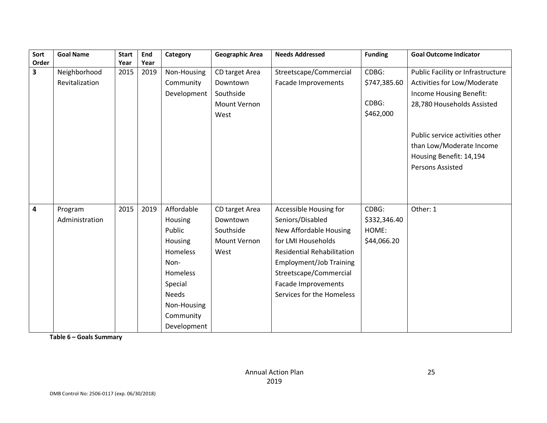| Sort  | <b>Goal Name</b> | <b>Start</b> | End  | Category     | Geographic Area | <b>Needs Addressed</b>            | <b>Funding</b> | <b>Goal Outcome Indicator</b>      |
|-------|------------------|--------------|------|--------------|-----------------|-----------------------------------|----------------|------------------------------------|
| Order |                  | Year         | Year |              |                 |                                   |                |                                    |
| 3     | Neighborhood     | 2015         | 2019 | Non-Housing  | CD target Area  | Streetscape/Commercial            | CDBG:          | Public Facility or Infrastructure  |
|       | Revitalization   |              |      | Community    | Downtown        | Facade Improvements               | \$747,385.60   | <b>Activities for Low/Moderate</b> |
|       |                  |              |      | Development  | Southside       |                                   |                | Income Housing Benefit:            |
|       |                  |              |      |              | Mount Vernon    |                                   | CDBG:          | 28,780 Households Assisted         |
|       |                  |              |      |              | West            |                                   | \$462,000      |                                    |
|       |                  |              |      |              |                 |                                   |                |                                    |
|       |                  |              |      |              |                 |                                   |                | Public service activities other    |
|       |                  |              |      |              |                 |                                   |                | than Low/Moderate Income           |
|       |                  |              |      |              |                 |                                   |                | Housing Benefit: 14,194            |
|       |                  |              |      |              |                 |                                   |                | Persons Assisted                   |
|       |                  |              |      |              |                 |                                   |                |                                    |
|       |                  |              |      |              |                 |                                   |                |                                    |
|       |                  |              |      |              |                 |                                   |                |                                    |
| 4     | Program          | 2015         | 2019 | Affordable   | CD target Area  | Accessible Housing for            | CDBG:          | Other: 1                           |
|       | Administration   |              |      | Housing      | Downtown        | Seniors/Disabled                  | \$332,346.40   |                                    |
|       |                  |              |      | Public       | Southside       | New Affordable Housing            | HOME:          |                                    |
|       |                  |              |      | Housing      | Mount Vernon    | for LMI Households                | \$44,066.20    |                                    |
|       |                  |              |      | Homeless     | West            | <b>Residential Rehabilitation</b> |                |                                    |
|       |                  |              |      | Non-         |                 | <b>Employment/Job Training</b>    |                |                                    |
|       |                  |              |      | Homeless     |                 | Streetscape/Commercial            |                |                                    |
|       |                  |              |      | Special      |                 | Facade Improvements               |                |                                    |
|       |                  |              |      | <b>Needs</b> |                 | Services for the Homeless         |                |                                    |
|       |                  |              |      | Non-Housing  |                 |                                   |                |                                    |
|       |                  |              |      | Community    |                 |                                   |                |                                    |
|       |                  |              |      | Development  |                 |                                   |                |                                    |

**Table 6 – Goals Summary**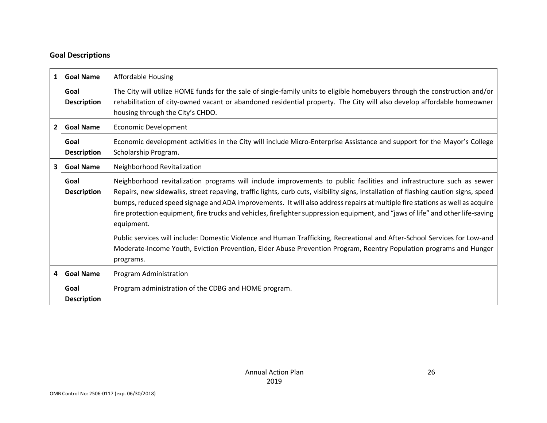### **Goal Descriptions**

| $\mathbf{1}$            | <b>Goal Name</b>           | Affordable Housing                                                                                                                                                                                                                                                                                                                                                                                                                                                                                                                                                                                                                                                                                                                                                                               |
|-------------------------|----------------------------|--------------------------------------------------------------------------------------------------------------------------------------------------------------------------------------------------------------------------------------------------------------------------------------------------------------------------------------------------------------------------------------------------------------------------------------------------------------------------------------------------------------------------------------------------------------------------------------------------------------------------------------------------------------------------------------------------------------------------------------------------------------------------------------------------|
|                         | Goal<br><b>Description</b> | The City will utilize HOME funds for the sale of single-family units to eligible homebuyers through the construction and/or<br>rehabilitation of city-owned vacant or abandoned residential property. The City will also develop affordable homeowner<br>housing through the City's CHDO.                                                                                                                                                                                                                                                                                                                                                                                                                                                                                                        |
| $\overline{2}$          | <b>Goal Name</b>           | <b>Economic Development</b>                                                                                                                                                                                                                                                                                                                                                                                                                                                                                                                                                                                                                                                                                                                                                                      |
|                         | Goal<br><b>Description</b> | Economic development activities in the City will include Micro-Enterprise Assistance and support for the Mayor's College<br>Scholarship Program.                                                                                                                                                                                                                                                                                                                                                                                                                                                                                                                                                                                                                                                 |
| $\overline{\mathbf{3}}$ | <b>Goal Name</b>           | Neighborhood Revitalization                                                                                                                                                                                                                                                                                                                                                                                                                                                                                                                                                                                                                                                                                                                                                                      |
|                         | Goal<br><b>Description</b> | Neighborhood revitalization programs will include improvements to public facilities and infrastructure such as sewer<br>Repairs, new sidewalks, street repaving, traffic lights, curb cuts, visibility signs, installation of flashing caution signs, speed<br>bumps, reduced speed signage and ADA improvements. It will also address repairs at multiple fire stations as well as acquire<br>fire protection equipment, fire trucks and vehicles, firefighter suppression equipment, and "jaws of life" and other life-saving<br>equipment.<br>Public services will include: Domestic Violence and Human Trafficking, Recreational and After-School Services for Low-and<br>Moderate-Income Youth, Eviction Prevention, Elder Abuse Prevention Program, Reentry Population programs and Hunger |
|                         |                            | programs.                                                                                                                                                                                                                                                                                                                                                                                                                                                                                                                                                                                                                                                                                                                                                                                        |
| $\overline{\mathbf{4}}$ | <b>Goal Name</b>           | Program Administration                                                                                                                                                                                                                                                                                                                                                                                                                                                                                                                                                                                                                                                                                                                                                                           |
|                         | Goal<br><b>Description</b> | Program administration of the CDBG and HOME program.                                                                                                                                                                                                                                                                                                                                                                                                                                                                                                                                                                                                                                                                                                                                             |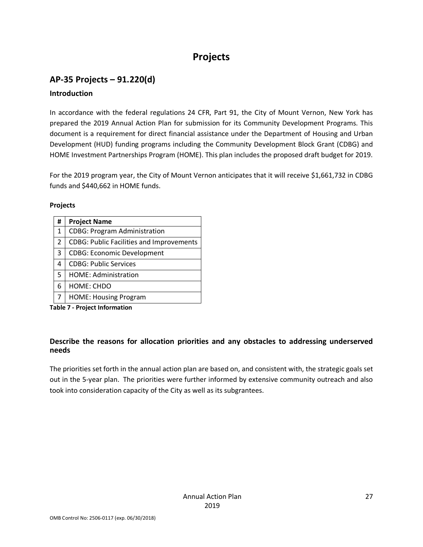# **Projects**

### **AP-35 Projects – 91.220(d) Introduction**

In accordance with the federal regulations 24 CFR, Part 91, the City of Mount Vernon, New York has prepared the 2019 Annual Action Plan for submission for its Community Development Programs. This document is a requirement for direct financial assistance under the Department of Housing and Urban Development (HUD) funding programs including the Community Development Block Grant (CDBG) and HOME Investment Partnerships Program (HOME). This plan includes the proposed draft budget for 2019.

For the 2019 program year, the City of Mount Vernon anticipates that it will receive \$1,661,732 in CDBG funds and \$440,662 in HOME funds.

#### **Projects**

| # | <b>Project Name</b>                             |
|---|-------------------------------------------------|
| 1 | <b>CDBG: Program Administration</b>             |
| 2 | <b>CDBG: Public Facilities and Improvements</b> |
| 3 | <b>CDBG: Economic Development</b>               |
| 4 | <b>CDBG: Public Services</b>                    |
| 5 | <b>HOME: Administration</b>                     |
| 6 | HOME: CHDO                                      |
|   | <b>HOME: Housing Program</b>                    |

**Table 7 - Project Information**

#### **Describe the reasons for allocation priorities and any obstacles to addressing underserved needs**

The priorities set forth in the annual action plan are based on, and consistent with, the strategic goals set out in the 5-year plan. The priorities were further informed by extensive community outreach and also took into consideration capacity of the City as well as its subgrantees.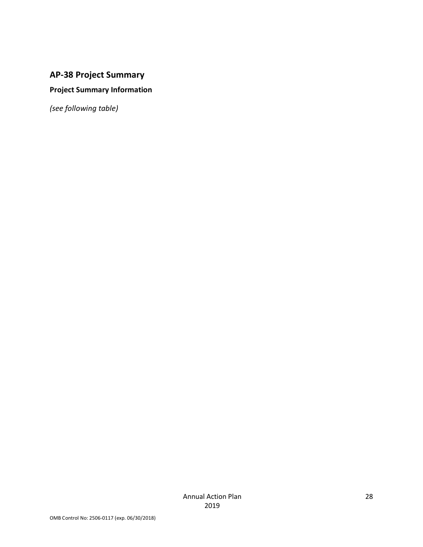### **AP-38 Project Summary**

### **Project Summary Information**

*(see following table)*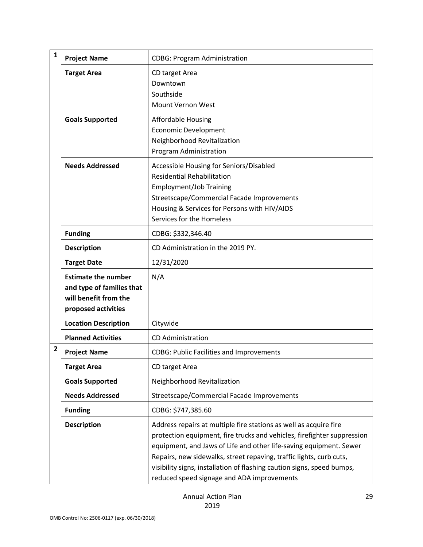| $\mathbf{1}$           | <b>Project Name</b>                                                                                     | <b>CDBG: Program Administration</b>                                                                                                                                                                                                                                                                                                                                                                               |
|------------------------|---------------------------------------------------------------------------------------------------------|-------------------------------------------------------------------------------------------------------------------------------------------------------------------------------------------------------------------------------------------------------------------------------------------------------------------------------------------------------------------------------------------------------------------|
|                        | <b>Target Area</b>                                                                                      | CD target Area<br>Downtown<br>Southside<br>Mount Vernon West                                                                                                                                                                                                                                                                                                                                                      |
|                        | <b>Goals Supported</b>                                                                                  | <b>Affordable Housing</b><br><b>Economic Development</b><br>Neighborhood Revitalization<br>Program Administration                                                                                                                                                                                                                                                                                                 |
|                        | <b>Needs Addressed</b>                                                                                  | Accessible Housing for Seniors/Disabled<br><b>Residential Rehabilitation</b><br><b>Employment/Job Training</b><br>Streetscape/Commercial Facade Improvements<br>Housing & Services for Persons with HIV/AIDS<br>Services for the Homeless                                                                                                                                                                         |
|                        | <b>Funding</b>                                                                                          | CDBG: \$332,346.40                                                                                                                                                                                                                                                                                                                                                                                                |
|                        | <b>Description</b>                                                                                      | CD Administration in the 2019 PY.                                                                                                                                                                                                                                                                                                                                                                                 |
|                        | <b>Target Date</b>                                                                                      | 12/31/2020                                                                                                                                                                                                                                                                                                                                                                                                        |
|                        | <b>Estimate the number</b><br>and type of families that<br>will benefit from the<br>proposed activities | N/A                                                                                                                                                                                                                                                                                                                                                                                                               |
|                        | <b>Location Description</b>                                                                             | Citywide                                                                                                                                                                                                                                                                                                                                                                                                          |
|                        | <b>Planned Activities</b>                                                                               | <b>CD Administration</b>                                                                                                                                                                                                                                                                                                                                                                                          |
| $\mathbf{2}$           | <b>Project Name</b>                                                                                     | <b>CDBG: Public Facilities and Improvements</b>                                                                                                                                                                                                                                                                                                                                                                   |
|                        | <b>Target Area</b>                                                                                      | CD target Area                                                                                                                                                                                                                                                                                                                                                                                                    |
| <b>Goals Supported</b> |                                                                                                         | Neighborhood Revitalization                                                                                                                                                                                                                                                                                                                                                                                       |
| <b>Needs Addressed</b> |                                                                                                         | Streetscape/Commercial Facade Improvements                                                                                                                                                                                                                                                                                                                                                                        |
|                        | <b>Funding</b>                                                                                          | CDBG: \$747,385.60                                                                                                                                                                                                                                                                                                                                                                                                |
|                        | <b>Description</b>                                                                                      | Address repairs at multiple fire stations as well as acquire fire<br>protection equipment, fire trucks and vehicles, firefighter suppression<br>equipment, and Jaws of Life and other life-saving equipment. Sewer<br>Repairs, new sidewalks, street repaving, traffic lights, curb cuts,<br>visibility signs, installation of flashing caution signs, speed bumps,<br>reduced speed signage and ADA improvements |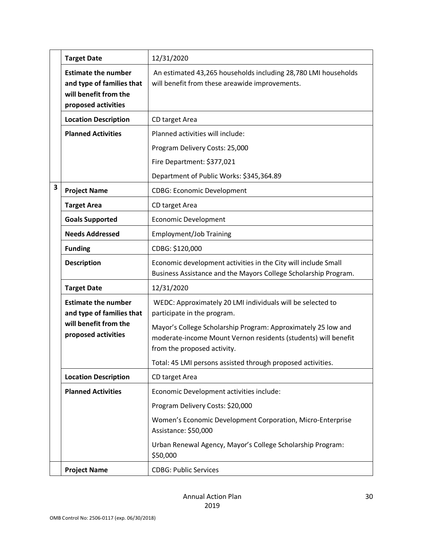|   | <b>Target Date</b>                                                                                      | 12/31/2020                                                                                                                                                                                                                   |  |  |  |  |
|---|---------------------------------------------------------------------------------------------------------|------------------------------------------------------------------------------------------------------------------------------------------------------------------------------------------------------------------------------|--|--|--|--|
|   | <b>Estimate the number</b><br>and type of families that<br>will benefit from the<br>proposed activities | An estimated 43,265 households including 28,780 LMI households<br>will benefit from these areawide improvements.                                                                                                             |  |  |  |  |
|   | <b>Location Description</b>                                                                             | CD target Area                                                                                                                                                                                                               |  |  |  |  |
|   | <b>Planned Activities</b>                                                                               | Planned activities will include:                                                                                                                                                                                             |  |  |  |  |
|   |                                                                                                         | Program Delivery Costs: 25,000                                                                                                                                                                                               |  |  |  |  |
|   |                                                                                                         | Fire Department: \$377,021                                                                                                                                                                                                   |  |  |  |  |
|   |                                                                                                         | Department of Public Works: \$345,364.89                                                                                                                                                                                     |  |  |  |  |
| 3 | <b>Project Name</b>                                                                                     | <b>CDBG: Economic Development</b>                                                                                                                                                                                            |  |  |  |  |
|   | <b>Target Area</b>                                                                                      | CD target Area                                                                                                                                                                                                               |  |  |  |  |
|   | <b>Goals Supported</b>                                                                                  | <b>Economic Development</b>                                                                                                                                                                                                  |  |  |  |  |
|   | <b>Needs Addressed</b>                                                                                  | <b>Employment/Job Training</b>                                                                                                                                                                                               |  |  |  |  |
|   | <b>Funding</b>                                                                                          | CDBG: \$120,000                                                                                                                                                                                                              |  |  |  |  |
|   | <b>Description</b>                                                                                      | Economic development activities in the City will include Small<br>Business Assistance and the Mayors College Scholarship Program.                                                                                            |  |  |  |  |
|   | <b>Target Date</b>                                                                                      | 12/31/2020                                                                                                                                                                                                                   |  |  |  |  |
|   | <b>Estimate the number</b><br>and type of families that<br>will benefit from the<br>proposed activities | WEDC: Approximately 20 LMI individuals will be selected to<br>participate in the program.<br>Mayor's College Scholarship Program: Approximately 25 low and<br>moderate-income Mount Vernon residents (students) will benefit |  |  |  |  |
|   |                                                                                                         | from the proposed activity.                                                                                                                                                                                                  |  |  |  |  |
|   |                                                                                                         | Total: 45 LMI persons assisted through proposed activities.                                                                                                                                                                  |  |  |  |  |
|   | <b>Location Description</b>                                                                             | CD target Area                                                                                                                                                                                                               |  |  |  |  |
|   | <b>Planned Activities</b>                                                                               | Economic Development activities include:                                                                                                                                                                                     |  |  |  |  |
|   |                                                                                                         | Program Delivery Costs: \$20,000                                                                                                                                                                                             |  |  |  |  |
|   |                                                                                                         | Women's Economic Development Corporation, Micro-Enterprise<br>Assistance: \$50,000                                                                                                                                           |  |  |  |  |
|   |                                                                                                         | Urban Renewal Agency, Mayor's College Scholarship Program:<br>\$50,000                                                                                                                                                       |  |  |  |  |
|   | <b>Project Name</b>                                                                                     | <b>CDBG: Public Services</b>                                                                                                                                                                                                 |  |  |  |  |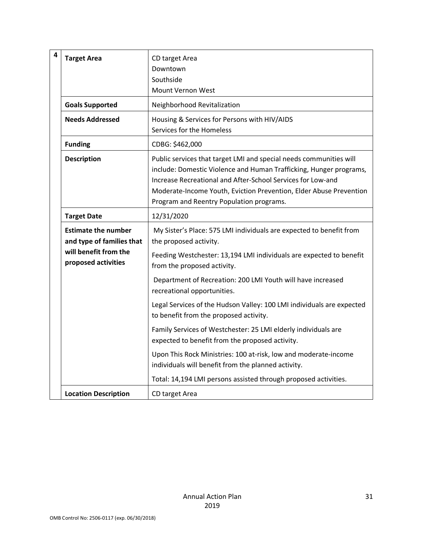| $\overline{\mathbf{4}}$ | <b>Target Area</b>                                                                                      | CD target Area<br>Downtown<br>Southside<br>Mount Vernon West                                                                                                                                                                                                                                                              |
|-------------------------|---------------------------------------------------------------------------------------------------------|---------------------------------------------------------------------------------------------------------------------------------------------------------------------------------------------------------------------------------------------------------------------------------------------------------------------------|
|                         | <b>Goals Supported</b>                                                                                  | Neighborhood Revitalization                                                                                                                                                                                                                                                                                               |
|                         | <b>Needs Addressed</b>                                                                                  | Housing & Services for Persons with HIV/AIDS<br>Services for the Homeless                                                                                                                                                                                                                                                 |
|                         | <b>Funding</b>                                                                                          | CDBG: \$462,000                                                                                                                                                                                                                                                                                                           |
|                         | <b>Description</b>                                                                                      | Public services that target LMI and special needs communities will<br>include: Domestic Violence and Human Trafficking, Hunger programs,<br>Increase Recreational and After-School Services for Low-and<br>Moderate-Income Youth, Eviction Prevention, Elder Abuse Prevention<br>Program and Reentry Population programs. |
|                         | <b>Target Date</b>                                                                                      | 12/31/2020                                                                                                                                                                                                                                                                                                                |
|                         | <b>Estimate the number</b><br>and type of families that<br>will benefit from the<br>proposed activities | My Sister's Place: 575 LMI individuals are expected to benefit from<br>the proposed activity.<br>Feeding Westchester: 13,194 LMI individuals are expected to benefit<br>from the proposed activity.                                                                                                                       |
|                         |                                                                                                         | Department of Recreation: 200 LMI Youth will have increased<br>recreational opportunities.                                                                                                                                                                                                                                |
|                         |                                                                                                         | Legal Services of the Hudson Valley: 100 LMI individuals are expected<br>to benefit from the proposed activity.                                                                                                                                                                                                           |
|                         |                                                                                                         | Family Services of Westchester: 25 LMI elderly individuals are<br>expected to benefit from the proposed activity.                                                                                                                                                                                                         |
|                         |                                                                                                         | Upon This Rock Ministries: 100 at-risk, low and moderate-income<br>individuals will benefit from the planned activity.                                                                                                                                                                                                    |
|                         |                                                                                                         | Total: 14,194 LMI persons assisted through proposed activities.                                                                                                                                                                                                                                                           |
|                         | <b>Location Description</b>                                                                             | CD target Area                                                                                                                                                                                                                                                                                                            |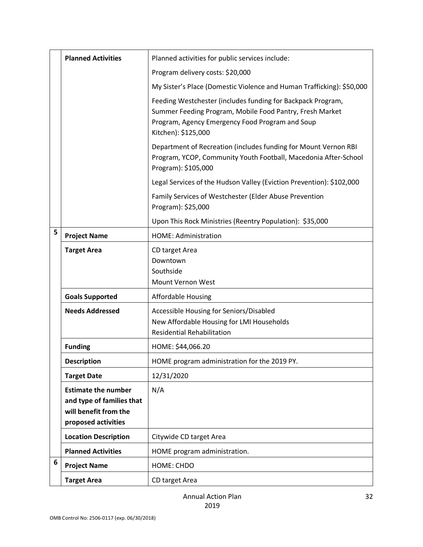|   | <b>Planned Activities</b>                                                                               | Planned activities for public services include:                                                                                                                                                   |
|---|---------------------------------------------------------------------------------------------------------|---------------------------------------------------------------------------------------------------------------------------------------------------------------------------------------------------|
|   |                                                                                                         | Program delivery costs: \$20,000                                                                                                                                                                  |
|   |                                                                                                         | My Sister's Place (Domestic Violence and Human Trafficking): \$50,000                                                                                                                             |
|   |                                                                                                         | Feeding Westchester (includes funding for Backpack Program,<br>Summer Feeding Program, Mobile Food Pantry, Fresh Market<br>Program, Agency Emergency Food Program and Soup<br>Kitchen): \$125,000 |
|   |                                                                                                         | Department of Recreation (includes funding for Mount Vernon RBI<br>Program, YCOP, Community Youth Football, Macedonia After-School<br>Program): \$105,000                                         |
|   |                                                                                                         | Legal Services of the Hudson Valley (Eviction Prevention): \$102,000                                                                                                                              |
|   |                                                                                                         | Family Services of Westchester (Elder Abuse Prevention<br>Program): \$25,000                                                                                                                      |
|   |                                                                                                         | Upon This Rock Ministries (Reentry Population): \$35,000                                                                                                                                          |
| 5 | <b>Project Name</b>                                                                                     | HOME: Administration                                                                                                                                                                              |
|   | <b>Target Area</b>                                                                                      | CD target Area<br>Downtown<br>Southside<br>Mount Vernon West                                                                                                                                      |
|   | <b>Goals Supported</b>                                                                                  | <b>Affordable Housing</b>                                                                                                                                                                         |
|   | <b>Needs Addressed</b>                                                                                  | Accessible Housing for Seniors/Disabled<br>New Affordable Housing for LMI Households<br><b>Residential Rehabilitation</b>                                                                         |
|   | <b>Funding</b>                                                                                          | HOME: \$44,066.20                                                                                                                                                                                 |
|   | <b>Description</b>                                                                                      | HOME program administration for the 2019 PY.                                                                                                                                                      |
|   | <b>Target Date</b>                                                                                      | 12/31/2020                                                                                                                                                                                        |
|   | <b>Estimate the number</b><br>and type of families that<br>will benefit from the<br>proposed activities | N/A                                                                                                                                                                                               |
|   | <b>Location Description</b>                                                                             | Citywide CD target Area                                                                                                                                                                           |
|   | <b>Planned Activities</b>                                                                               | HOME program administration.                                                                                                                                                                      |
| 6 | <b>Project Name</b>                                                                                     | HOME: CHDO                                                                                                                                                                                        |
|   | <b>Target Area</b>                                                                                      | CD target Area                                                                                                                                                                                    |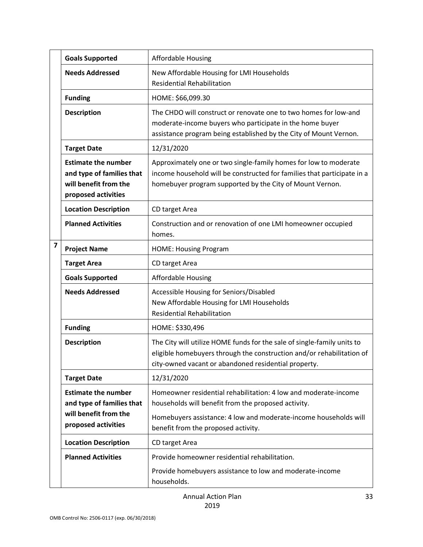|                         | <b>Goals Supported</b>                                                                                  | <b>Affordable Housing</b>                                                                                                                                                                                                         |
|-------------------------|---------------------------------------------------------------------------------------------------------|-----------------------------------------------------------------------------------------------------------------------------------------------------------------------------------------------------------------------------------|
|                         | <b>Needs Addressed</b>                                                                                  | New Affordable Housing for LMI Households<br><b>Residential Rehabilitation</b>                                                                                                                                                    |
|                         | <b>Funding</b>                                                                                          | HOME: \$66,099.30                                                                                                                                                                                                                 |
|                         | <b>Description</b>                                                                                      | The CHDO will construct or renovate one to two homes for low-and<br>moderate-income buyers who participate in the home buyer<br>assistance program being established by the City of Mount Vernon.                                 |
|                         | <b>Target Date</b>                                                                                      | 12/31/2020                                                                                                                                                                                                                        |
|                         | <b>Estimate the number</b><br>and type of families that<br>will benefit from the<br>proposed activities | Approximately one or two single-family homes for low to moderate<br>income household will be constructed for families that participate in a<br>homebuyer program supported by the City of Mount Vernon.                           |
|                         | <b>Location Description</b>                                                                             | CD target Area                                                                                                                                                                                                                    |
|                         | <b>Planned Activities</b>                                                                               | Construction and or renovation of one LMI homeowner occupied<br>homes.                                                                                                                                                            |
| $\overline{\mathbf{z}}$ | <b>Project Name</b>                                                                                     | <b>HOME: Housing Program</b>                                                                                                                                                                                                      |
|                         | <b>Target Area</b>                                                                                      | CD target Area                                                                                                                                                                                                                    |
|                         | <b>Goals Supported</b>                                                                                  | <b>Affordable Housing</b>                                                                                                                                                                                                         |
|                         | <b>Needs Addressed</b>                                                                                  | Accessible Housing for Seniors/Disabled<br>New Affordable Housing for LMI Households<br><b>Residential Rehabilitation</b>                                                                                                         |
|                         | <b>Funding</b>                                                                                          | HOME: \$330,496                                                                                                                                                                                                                   |
|                         | <b>Description</b>                                                                                      | The City will utilize HOME funds for the sale of single-family units to<br>eligible homebuyers through the construction and/or rehabilitation of<br>city-owned vacant or abandoned residential property.                          |
|                         | <b>Target Date</b>                                                                                      | 12/31/2020                                                                                                                                                                                                                        |
|                         | <b>Estimate the number</b><br>and type of families that<br>will benefit from the<br>proposed activities | Homeowner residential rehabilitation: 4 low and moderate-income<br>households will benefit from the proposed activity.<br>Homebuyers assistance: 4 low and moderate-income households will<br>benefit from the proposed activity. |
|                         | <b>Location Description</b>                                                                             | CD target Area                                                                                                                                                                                                                    |
|                         | <b>Planned Activities</b>                                                                               | Provide homeowner residential rehabilitation.<br>Provide homebuyers assistance to low and moderate-income<br>households.                                                                                                          |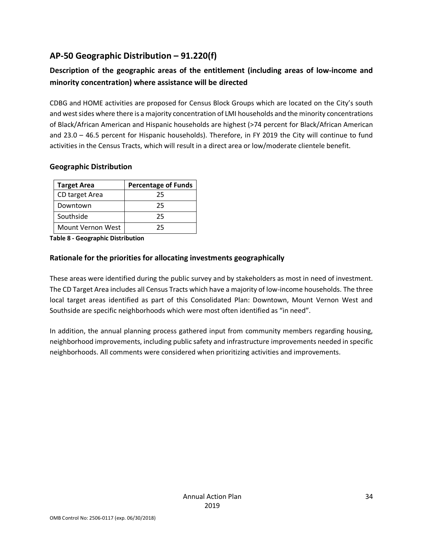### **AP-50 Geographic Distribution – 91.220(f)**

### **Description of the geographic areas of the entitlement (including areas of low-income and minority concentration) where assistance will be directed**

CDBG and HOME activities are proposed for Census Block Groups which are located on the City's south and west sides where there is a majority concentration of LMI households and the minority concentrations of Black/African American and Hispanic households are highest (>74 percent for Black/African American and 23.0 – 46.5 percent for Hispanic households). Therefore, in FY 2019 the City will continue to fund activities in the Census Tracts, which will result in a direct area or low/moderate clientele benefit.

#### **Geographic Distribution**

| <b>Target Area</b> | <b>Percentage of Funds</b> |
|--------------------|----------------------------|
| CD target Area     | 25                         |
| Downtown           | 25                         |
| Southside          | 25                         |
| Mount Vernon West  | 25                         |

**Table 8 - Geographic Distribution** 

#### **Rationale for the priorities for allocating investments geographically**

These areas were identified during the public survey and by stakeholders as most in need of investment. The CD Target Area includes all Census Tracts which have a majority of low-income households. The three local target areas identified as part of this Consolidated Plan: Downtown, Mount Vernon West and Southside are specific neighborhoods which were most often identified as "in need".

In addition, the annual planning process gathered input from community members regarding housing, neighborhood improvements, including public safety and infrastructure improvements needed in specific neighborhoods. All comments were considered when prioritizing activities and improvements.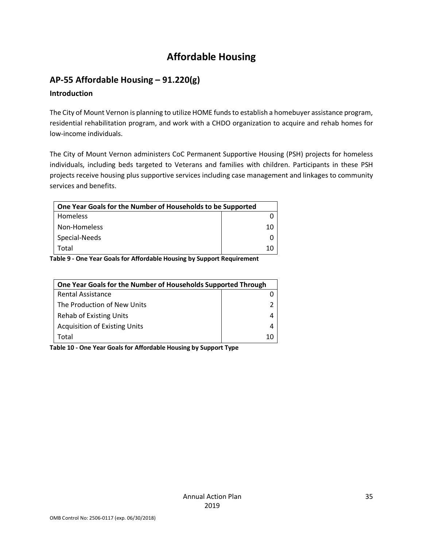# **Affordable Housing**

# **AP-55 Affordable Housing – 91.220(g)**

### **Introduction**

The City of Mount Vernon is planning to utilize HOME funds to establish a homebuyer assistance program, residential rehabilitation program, and work with a CHDO organization to acquire and rehab homes for low-income individuals.

The City of Mount Vernon administers CoC Permanent Supportive Housing (PSH) projects for homeless individuals, including beds targeted to Veterans and families with children. Participants in these PSH projects receive housing plus supportive services including case management and linkages to community services and benefits.

| One Year Goals for the Number of Households to be Supported |    |  |  |  |
|-------------------------------------------------------------|----|--|--|--|
| Homeless                                                    |    |  |  |  |
| Non-Homeless                                                | 10 |  |  |  |
| Special-Needs                                               |    |  |  |  |
| Total                                                       |    |  |  |  |

**Table 9 - One Year Goals for Affordable Housing by Support Requirement**

| One Year Goals for the Number of Households Supported Through |   |
|---------------------------------------------------------------|---|
| <b>Rental Assistance</b>                                      |   |
| The Production of New Units                                   |   |
| <b>Rehab of Existing Units</b>                                |   |
| <b>Acquisition of Existing Units</b>                          | 4 |
| Total                                                         |   |

**Table 10 - One Year Goals for Affordable Housing by Support Type**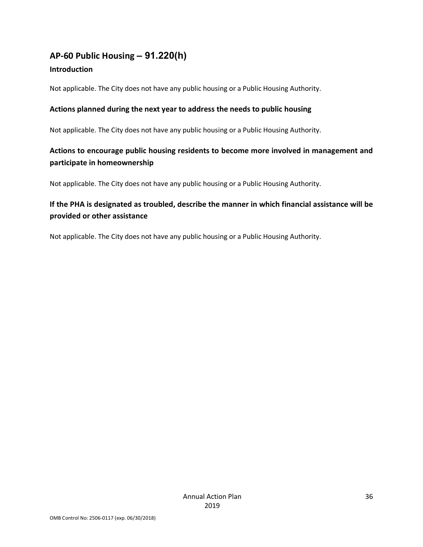# **AP-60 Public Housing** *–* **91.220(h)**

### **Introduction**

Not applicable. The City does not have any public housing or a Public Housing Authority.

### **Actions planned during the next year to address the needs to public housing**

Not applicable. The City does not have any public housing or a Public Housing Authority.

### **Actions to encourage public housing residents to become more involved in management and participate in homeownership**

Not applicable. The City does not have any public housing or a Public Housing Authority.

### **If the PHA is designated as troubled, describe the manner in which financial assistance will be provided or other assistance**

Not applicable. The City does not have any public housing or a Public Housing Authority.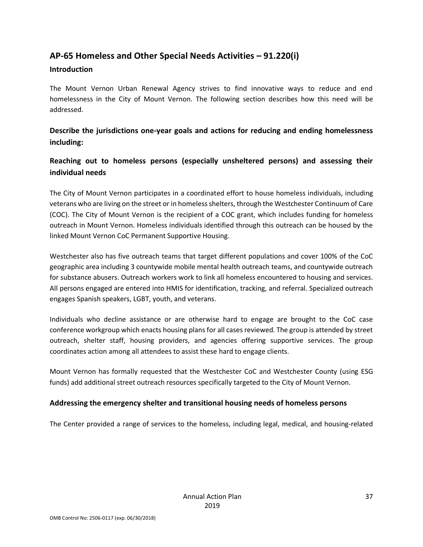### **AP-65 Homeless and Other Special Needs Activities – 91.220(i)**

#### **Introduction**

The Mount Vernon Urban Renewal Agency strives to find innovative ways to reduce and end homelessness in the City of Mount Vernon. The following section describes how this need will be addressed.

### **Describe the jurisdictions one-year goals and actions for reducing and ending homelessness including:**

### **Reaching out to homeless persons (especially unsheltered persons) and assessing their individual needs**

The City of Mount Vernon participates in a coordinated effort to house homeless individuals, including veterans who are living on the street or in homeless shelters, through the Westchester Continuum of Care (COC). The City of Mount Vernon is the recipient of a COC grant, which includes funding for homeless outreach in Mount Vernon. Homeless individuals identified through this outreach can be housed by the linked Mount Vernon CoC Permanent Supportive Housing.

Westchester also has five outreach teams that target different populations and cover 100% of the CoC geographic area including 3 countywide mobile mental health outreach teams, and countywide outreach for substance abusers. Outreach workers work to link all homeless encountered to housing and services. All persons engaged are entered into HMIS for identification, tracking, and referral. Specialized outreach engages Spanish speakers, LGBT, youth, and veterans.

Individuals who decline assistance or are otherwise hard to engage are brought to the CoC case conference workgroup which enacts housing plans for all cases reviewed. The group is attended by street outreach, shelter staff, housing providers, and agencies offering supportive services. The group coordinates action among all attendees to assist these hard to engage clients.

Mount Vernon has formally requested that the Westchester CoC and Westchester County (using ESG funds) add additional street outreach resources specifically targeted to the City of Mount Vernon.

### **Addressing the emergency shelter and transitional housing needs of homeless persons**

The Center provided a range of services to the homeless, including legal, medical, and housing-related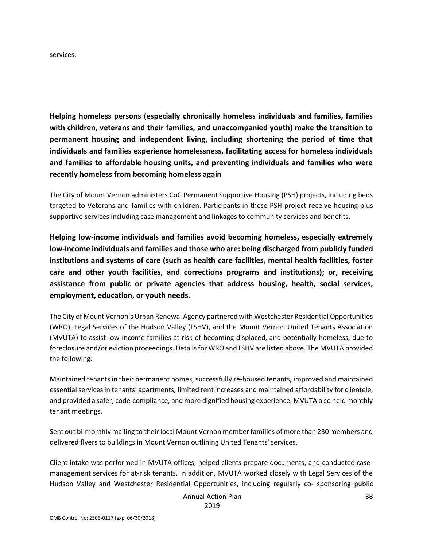services.

**Helping homeless persons (especially chronically homeless individuals and families, families with children, veterans and their families, and unaccompanied youth) make the transition to permanent housing and independent living, including shortening the period of time that individuals and families experience homelessness, facilitating access for homeless individuals and families to affordable housing units, and preventing individuals and families who were recently homeless from becoming homeless again**

The City of Mount Vernon administers CoC Permanent Supportive Housing (PSH) projects, including beds targeted to Veterans and families with children. Participants in these PSH project receive housing plus supportive services including case management and linkages to community services and benefits.

**Helping low-income individuals and families avoid becoming homeless, especially extremely low-income individuals and families and those who are: being discharged from publicly funded institutions and systems of care (such as health care facilities, mental health facilities, foster care and other youth facilities, and corrections programs and institutions); or, receiving assistance from public or private agencies that address housing, health, social services, employment, education, or youth needs.**

The City of Mount Vernon's Urban Renewal Agency partnered with Westchester Residential Opportunities (WRO), Legal Services of the Hudson Valley (LSHV), and the Mount Vernon United Tenants Association (MVUTA) to assist low-income families at risk of becoming displaced, and potentially homeless, due to foreclosure and/or eviction proceedings. Details for WRO and LSHV are listed above. The MVUTA provided the following:

Maintained tenants in their permanent homes, successfully re-housed tenants, improved and maintained essential services in tenants' apartments, limited rent increases and maintained affordability for clientele, and provided a safer, code-compliance, and more dignified housing experience. MVUTA also held monthly tenant meetings.

Sent out bi-monthly mailing to their local Mount Vernon member families of more than 230 members and delivered flyers to buildings in Mount Vernon outlining United Tenants' services.

Client intake was performed in MVUTA offices, helped clients prepare documents, and conducted casemanagement services for at-risk tenants. In addition, MVUTA worked closely with Legal Services of the Hudson Valley and Westchester Residential Opportunities, including regularly co- sponsoring public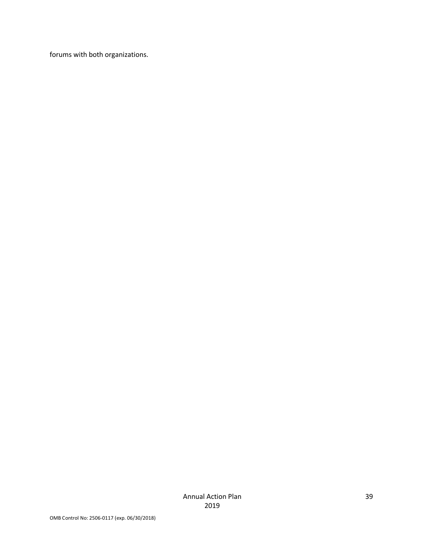forums with both organizations.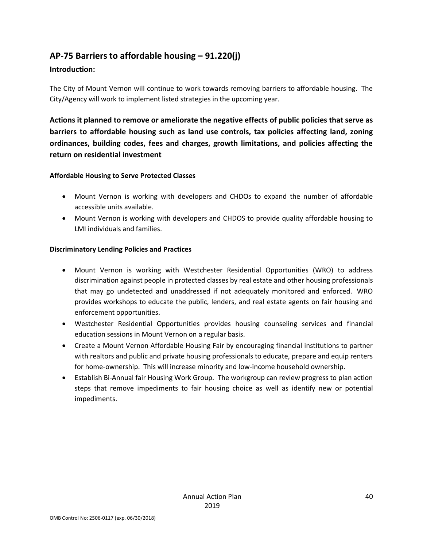### **AP-75 Barriers to affordable housing – 91.220(j)**

#### **Introduction:**

The City of Mount Vernon will continue to work towards removing barriers to affordable housing. The City/Agency will work to implement listed strategies in the upcoming year.

**Actions it planned to remove or ameliorate the negative effects of public policies that serve as barriers to affordable housing such as land use controls, tax policies affecting land, zoning ordinances, building codes, fees and charges, growth limitations, and policies affecting the return on residential investment**

#### **Affordable Housing to Serve Protected Classes**

- Mount Vernon is working with developers and CHDOs to expand the number of affordable accessible units available.
- Mount Vernon is working with developers and CHDOS to provide quality affordable housing to LMI individuals and families.

#### **Discriminatory Lending Policies and Practices**

- Mount Vernon is working with Westchester Residential Opportunities (WRO) to address discrimination against people in protected classes by real estate and other housing professionals that may go undetected and unaddressed if not adequately monitored and enforced. WRO provides workshops to educate the public, lenders, and real estate agents on fair housing and enforcement opportunities.
- Westchester Residential Opportunities provides housing counseling services and financial education sessions in Mount Vernon on a regular basis.
- Create a Mount Vernon Affordable Housing Fair by encouraging financial institutions to partner with realtors and public and private housing professionals to educate, prepare and equip renters for home-ownership. This will increase minority and low-income household ownership.
- Establish Bi-Annual fair Housing Work Group. The workgroup can review progress to plan action steps that remove impediments to fair housing choice as well as identify new or potential impediments.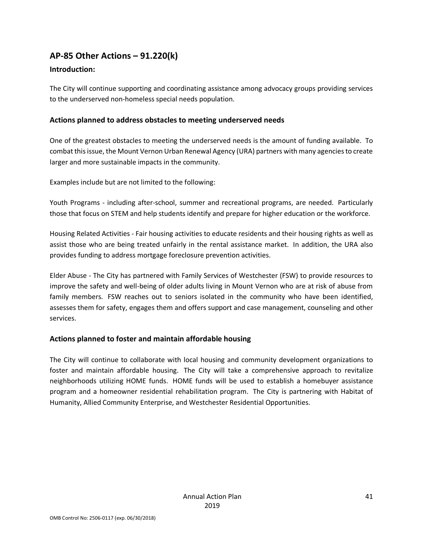### **AP-85 Other Actions – 91.220(k)**

### **Introduction:**

The City will continue supporting and coordinating assistance among advocacy groups providing services to the underserved non-homeless special needs population.

### **Actions planned to address obstacles to meeting underserved needs**

One of the greatest obstacles to meeting the underserved needs is the amount of funding available. To combat this issue, the Mount Vernon Urban Renewal Agency (URA) partners with many agencies to create larger and more sustainable impacts in the community.

Examples include but are not limited to the following:

Youth Programs - including after-school, summer and recreational programs, are needed. Particularly those that focus on STEM and help students identify and prepare for higher education or the workforce.

Housing Related Activities - Fair housing activities to educate residents and their housing rights as well as assist those who are being treated unfairly in the rental assistance market. In addition, the URA also provides funding to address mortgage foreclosure prevention activities.

Elder Abuse - The City has partnered with Family Services of Westchester (FSW) to provide resources to improve the safety and well-being of older adults living in Mount Vernon who are at risk of abuse from family members. FSW reaches out to seniors isolated in the community who have been identified, assesses them for safety, engages them and offers support and case management, counseling and other services.

### **Actions planned to foster and maintain affordable housing**

The City will continue to collaborate with local housing and community development organizations to foster and maintain affordable housing. The City will take a comprehensive approach to revitalize neighborhoods utilizing HOME funds. HOME funds will be used to establish a homebuyer assistance program and a homeowner residential rehabilitation program. The City is partnering with Habitat of Humanity, Allied Community Enterprise, and Westchester Residential Opportunities.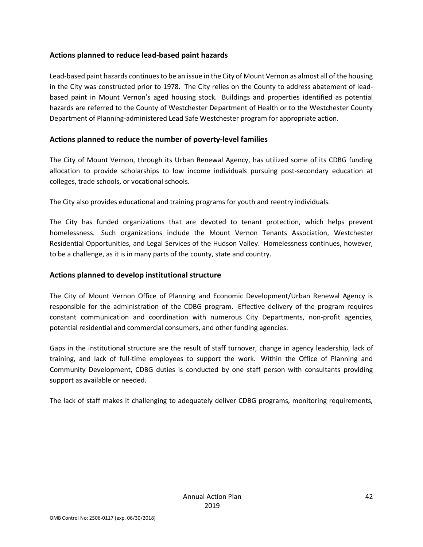#### **Actions planned to reduce lead-based paint hazards**

Lead-based paint hazards continues to be an issue in the City of Mount Vernon as almost all of the housing in the City was constructed prior to 1978. The City relies on the County to address abatement of leadbased paint in Mount Vernon's aged housing stock. Buildings and properties identified as potential hazards are referred to the County of Westchester Department of Health or to the Westchester County Department of Planning-administered Lead Safe Westchester program for appropriate action.

#### **Actions planned to reduce the number of poverty-level families**

The City of Mount Vernon, through its Urban Renewal Agency, has utilized some of its CDBG funding allocation to provide scholarships to low income individuals pursuing post-secondary education at colleges, trade schools, or vocational schools.

The City also provides educational and training programs for youth and reentry individuals.

The City has funded organizations that are devoted to tenant protection, which helps prevent homelessness. Such organizations include the Mount Vernon Tenants Association, Westchester Residential Opportunities, and Legal Services of the Hudson Valley. Homelessness continues, however, to be a challenge, as it is in many parts of the county, state and country.

#### **Actions planned to develop institutional structure**

The City of Mount Vernon Office of Planning and Economic Development/Urban Renewal Agency is responsible for the administration of the CDBG program. Effective delivery of the program requires constant communication and coordination with numerous City Departments, non-profit agencies, potential residential and commercial consumers, and other funding agencies.

Gaps in the institutional structure are the result of staff turnover, change in agency leadership, lack of training, and lack of full-time employees to support the work. Within the Office of Planning and Community Development, CDBG duties is conducted by one staff person with consultants providing support as available or needed.

The lack of staff makes it challenging to adequately deliver CDBG programs, monitoring requirements,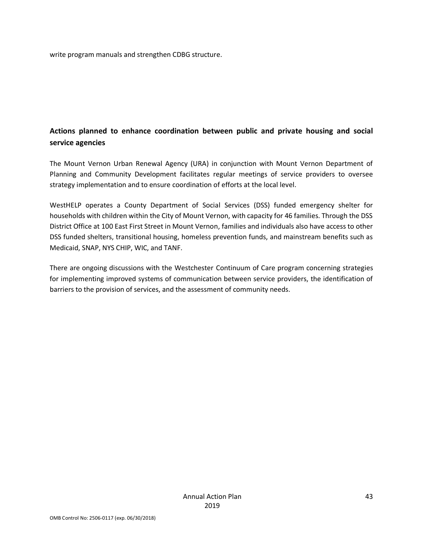write program manuals and strengthen CDBG structure.

### **Actions planned to enhance coordination between public and private housing and social service agencies**

The Mount Vernon Urban Renewal Agency (URA) in conjunction with Mount Vernon Department of Planning and Community Development facilitates regular meetings of service providers to oversee strategy implementation and to ensure coordination of efforts at the local level.

WestHELP operates a County Department of Social Services (DSS) funded emergency shelter for households with children within the City of Mount Vernon, with capacity for 46 families. Through the DSS District Office at 100 East First Street in Mount Vernon, families and individuals also have access to other DSS funded shelters, transitional housing, homeless prevention funds, and mainstream benefits such as Medicaid, SNAP, NYS CHIP, WIC, and TANF.

There are ongoing discussions with the Westchester Continuum of Care program concerning strategies for implementing improved systems of communication between service providers, the identification of barriers to the provision of services, and the assessment of community needs.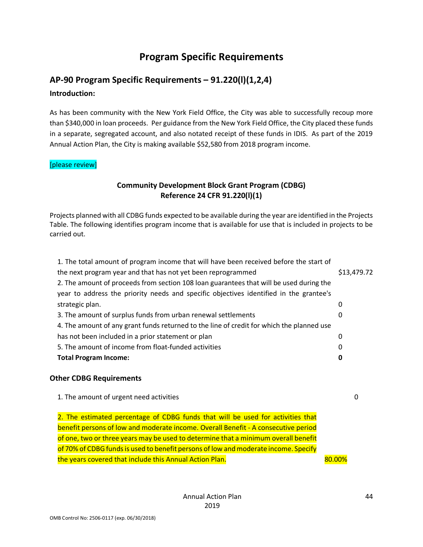### **Program Specific Requirements**

### **AP-90 Program Specific Requirements – 91.220(l)(1,2,4) Introduction:**

As has been community with the New York Field Office, the City was able to successfully recoup more than \$340,000 in loan proceeds. Per guidance from the New York Field Office, the City placed these funds in a separate, segregated account, and also notated receipt of these funds in IDIS. As part of the 2019 Annual Action Plan, the City is making available \$52,580 from 2018 program income.

#### [please review]

### **Community Development Block Grant Program (CDBG) Reference 24 CFR 91.220(l)(1)**

Projects planned with all CDBG funds expected to be available during the year are identified in the Projects Table. The following identifies program income that is available for use that is included in projects to be carried out.

| 1. The total amount of program income that will have been received before the start of    |             |
|-------------------------------------------------------------------------------------------|-------------|
| the next program year and that has not yet been reprogrammed                              | \$13,479.72 |
| 2. The amount of proceeds from section 108 loan guarantees that will be used during the   |             |
| year to address the priority needs and specific objectives identified in the grantee's    |             |
| strategic plan.                                                                           | 0           |
| 3. The amount of surplus funds from urban renewal settlements                             | 0           |
| 4. The amount of any grant funds returned to the line of credit for which the planned use |             |
| has not been included in a prior statement or plan                                        | 0           |
| 5. The amount of income from float-funded activities                                      | 0           |
| <b>Total Program Income:</b>                                                              | 0           |
|                                                                                           |             |

#### **Other CDBG Requirements**

1. The amount of urgent need activities 0

2. The estimated percentage of CDBG funds that will be used for activities that benefit persons of low and moderate income. Overall Benefit - A consecutive period of one, two or three years may be used to determine that a minimum overall benefit of 70% of CDBG funds is used to benefit persons of low and moderate income. Specify the years covered that include this Annual Action Plan. **80.00%** 80.00%